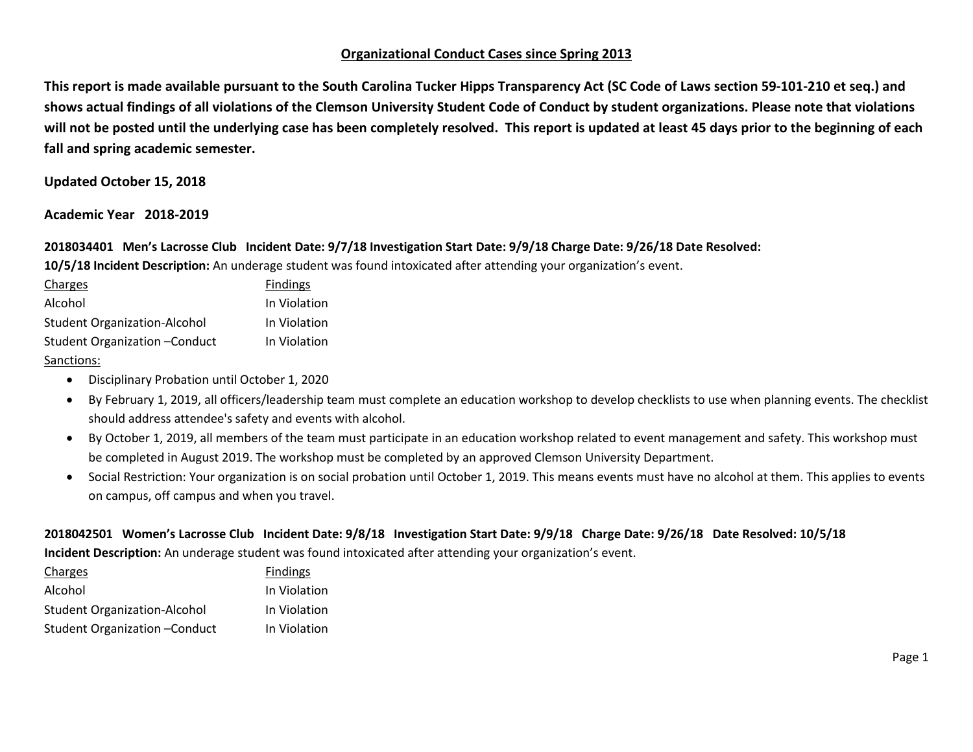# **Organizational Conduct Cases since Spring 2013**

**This report is made available pursuant to the South Carolina Tucker Hipps Transparency Act (SC Code of Laws section 59-101-210 et seq.) and shows actual findings of all violations of the Clemson University Student Code of Conduct by student organizations. Please note that violations will not be posted until the underlying case has been completely resolved. This report is updated at least 45 days prior to the beginning of each fall and spring academic semester.** 

#### **Updated October 15, 2018**

#### **Academic Year 2018-2019**

**2018034401 Men's Lacrosse Club Incident Date: 9/7/18 Investigation Start Date: 9/9/18 Charge Date: 9/26/18 Date Resolved: 10/5/18 Incident Description:** An underage student was found intoxicated after attending your organization's event.

| Charges                             | <b>Findings</b> |
|-------------------------------------|-----------------|
| Alcohol                             | In Violation    |
| <b>Student Organization-Alcohol</b> | In Violation    |
| Student Organization - Conduct      | In Violation    |
| $\sim$ $\sim$ $\sim$                |                 |

#### Sanctions:

- Disciplinary Probation until October 1, 2020
- By February 1, 2019, all officers/leadership team must complete an education workshop to develop checklists to use when planning events. The checklist should address attendee's safety and events with alcohol.
- By October 1, 2019, all members of the team must participate in an education workshop related to event management and safety. This workshop must be completed in August 2019. The workshop must be completed by an approved Clemson University Department.
- Social Restriction: Your organization is on social probation until October 1, 2019. This means events must have no alcohol at them. This applies to events on campus, off campus and when you travel.

# **2018042501 Women's Lacrosse Club Incident Date: 9/8/18 Investigation Start Date: 9/9/18 Charge Date: 9/26/18 Date Resolved: 10/5/18**

**Incident Description:** An underage student was found intoxicated after attending your organization's event.

| Charges                             | <b>Findings</b> |
|-------------------------------------|-----------------|
| Alcohol                             | In Violation    |
| <b>Student Organization-Alcohol</b> | In Violation    |
| Student Organization - Conduct      | In Violation    |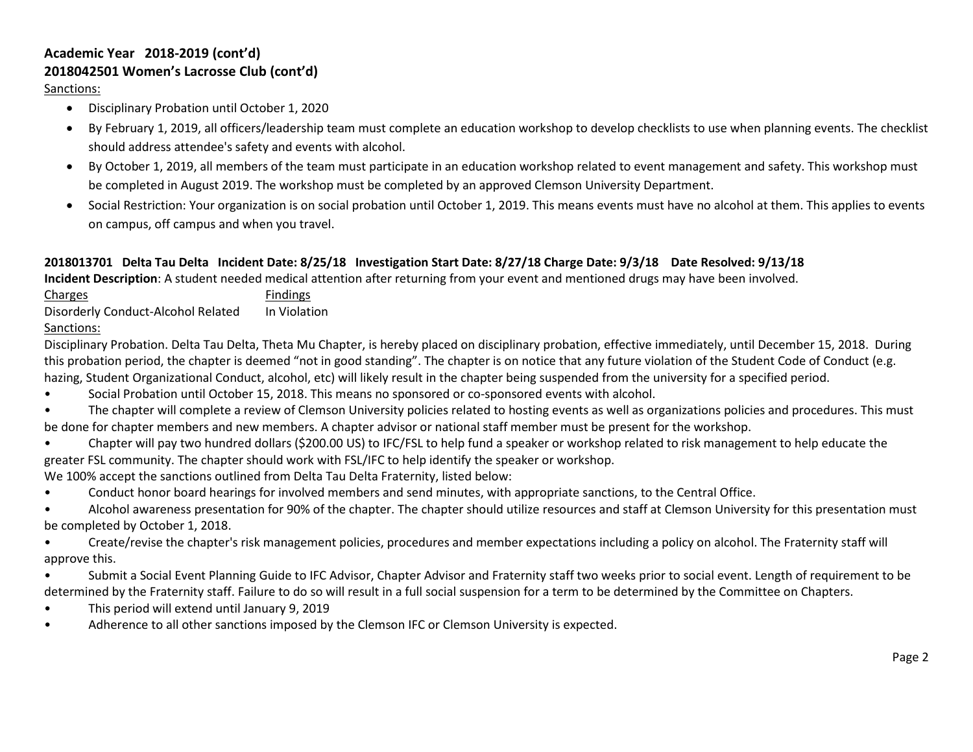# **Academic Year 2018-2019 (cont'd) 2018042501 Women's Lacrosse Club (cont'd)**

Sanctions:

- Disciplinary Probation until October 1, 2020
- By February 1, 2019, all officers/leadership team must complete an education workshop to develop checklists to use when planning events. The checklist should address attendee's safety and events with alcohol.
- By October 1, 2019, all members of the team must participate in an education workshop related to event management and safety. This workshop must be completed in August 2019. The workshop must be completed by an approved Clemson University Department.
- Social Restriction: Your organization is on social probation until October 1, 2019. This means events must have no alcohol at them. This applies to events on campus, off campus and when you travel.

# **2018013701 Delta Tau Delta Incident Date: 8/25/18 Investigation Start Date: 8/27/18 Charge Date: 9/3/18 Date Resolved: 9/13/18**

**Incident Description**: A student needed medical attention after returning from your event and mentioned drugs may have been involved.

Charges **Findings** Disorderly Conduct-Alcohol Related In Violation Sanctions:

Disciplinary Probation. Delta Tau Delta, Theta Mu Chapter, is hereby placed on disciplinary probation, effective immediately, until December 15, 2018. During this probation period, the chapter is deemed "not in good standing". The chapter is on notice that any future violation of the Student Code of Conduct (e.g. hazing, Student Organizational Conduct, alcohol, etc) will likely result in the chapter being suspended from the university for a specified period.

- Social Probation until October 15, 2018. This means no sponsored or co-sponsored events with alcohol.
- The chapter will complete a review of Clemson University policies related to hosting events as well as organizations policies and procedures. This must be done for chapter members and new members. A chapter advisor or national staff member must be present for the workshop.
- Chapter will pay two hundred dollars (\$200.00 US) to IFC/FSL to help fund a speaker or workshop related to risk management to help educate the greater FSL community. The chapter should work with FSL/IFC to help identify the speaker or workshop.

We 100% accept the sanctions outlined from Delta Tau Delta Fraternity, listed below:

- Conduct honor board hearings for involved members and send minutes, with appropriate sanctions, to the Central Office.
- Alcohol awareness presentation for 90% of the chapter. The chapter should utilize resources and staff at Clemson University for this presentation must be completed by October 1, 2018.

• Create/revise the chapter's risk management policies, procedures and member expectations including a policy on alcohol. The Fraternity staff will approve this.

• Submit a Social Event Planning Guide to IFC Advisor, Chapter Advisor and Fraternity staff two weeks prior to social event. Length of requirement to be determined by the Fraternity staff. Failure to do so will result in a full social suspension for a term to be determined by the Committee on Chapters.

- This period will extend until January 9, 2019
- Adherence to all other sanctions imposed by the Clemson IFC or Clemson University is expected.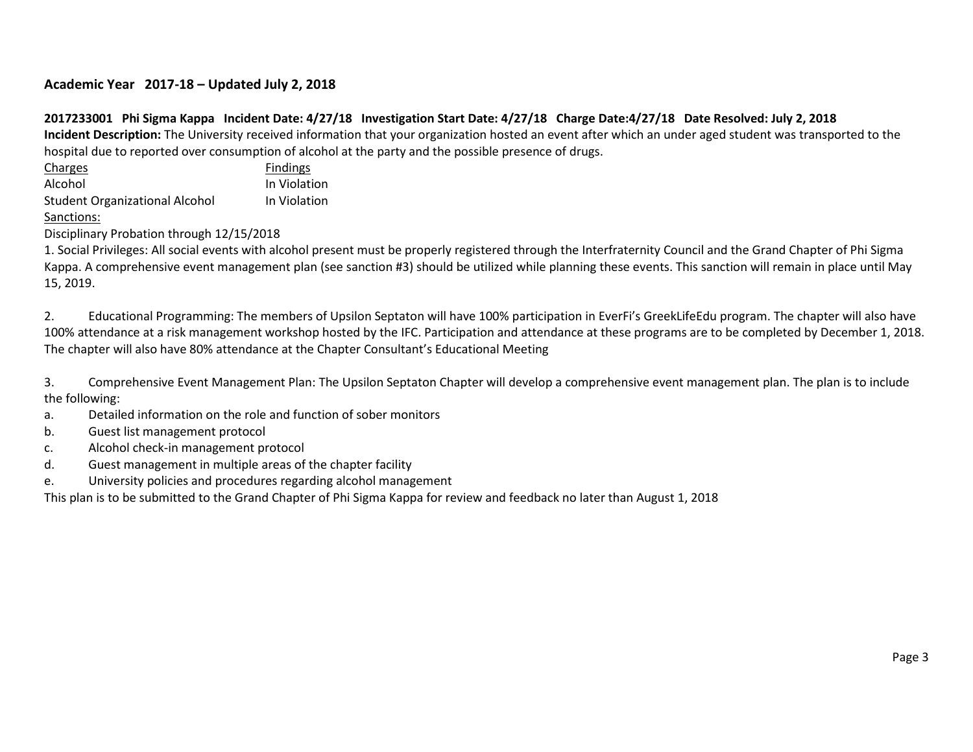# **Academic Year 2017-18 – Updated July 2, 2018**

# **2017233001 Phi Sigma Kappa Incident Date: 4/27/18 Investigation Start Date: 4/27/18 Charge Date:4/27/18 Date Resolved: July 2, 2018**

**Incident Description:** The University received information that your organization hosted an event after which an under aged student was transported to the hospital due to reported over consumption of alcohol at the party and the possible presence of drugs.

Charges **Findings** Alcohol **In Violation** Student Organizational Alcohol In Violation

Sanctions:

Disciplinary Probation through 12/15/2018

1. Social Privileges: All social events with alcohol present must be properly registered through the Interfraternity Council and the Grand Chapter of Phi Sigma Kappa. A comprehensive event management plan (see sanction #3) should be utilized while planning these events. This sanction will remain in place until May 15, 2019.

2. Educational Programming: The members of Upsilon Septaton will have 100% participation in EverFi's GreekLifeEdu program. The chapter will also have 100% attendance at a risk management workshop hosted by the IFC. Participation and attendance at these programs are to be completed by December 1, 2018. The chapter will also have 80% attendance at the Chapter Consultant's Educational Meeting

3. Comprehensive Event Management Plan: The Upsilon Septaton Chapter will develop a comprehensive event management plan. The plan is to include the following:

- a. Detailed information on the role and function of sober monitors
- b. Guest list management protocol
- c. Alcohol check-in management protocol
- d. Guest management in multiple areas of the chapter facility
- e. University policies and procedures regarding alcohol management

This plan is to be submitted to the Grand Chapter of Phi Sigma Kappa for review and feedback no later than August 1, 2018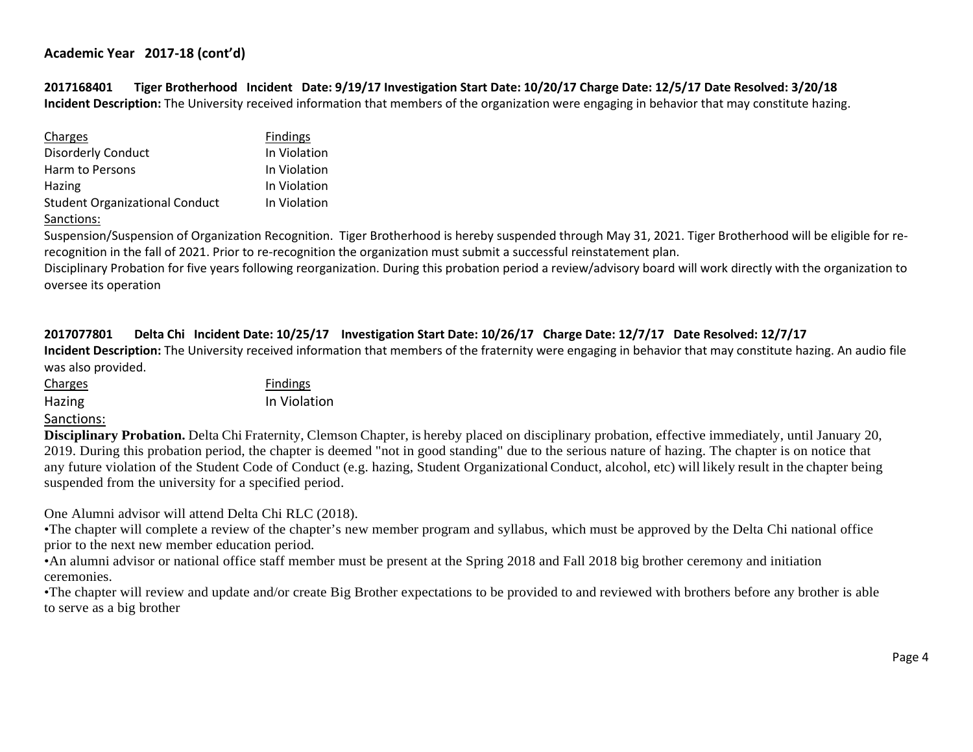**2017168401 Tiger Brotherhood Incident Date: 9/19/17 Investigation Start Date: 10/20/17 Charge Date: 12/5/17 Date Resolved: 3/20/18 Incident Description:** The University received information that members of the organization were engaging in behavior that may constitute hazing.

| Charges                               | <b>Findings</b> |
|---------------------------------------|-----------------|
| <b>Disorderly Conduct</b>             | In Violation    |
| Harm to Persons                       | In Violation    |
| Hazing                                | In Violation    |
| <b>Student Organizational Conduct</b> | In Violation    |
|                                       |                 |

Sanctions:

Suspension/Suspension of Organization Recognition. Tiger Brotherhood is hereby suspended through May 31, 2021. Tiger Brotherhood will be eligible for rerecognition in the fall of 2021. Prior to re-recognition the organization must submit a successful reinstatement plan.

Disciplinary Probation for five years following reorganization. During this probation period a review/advisory board will work directly with the organization to oversee its operation

## **2017077801 Delta Chi Incident Date: 10/25/17 Investigation Start Date: 10/26/17 Charge Date: 12/7/17 Date Resolved: 12/7/17**

**Incident Description:** The University received information that members of the fraternity were engaging in behavior that may constitute hazing. An audio file was also provided.

| <b>Charges</b> | <b>Findings</b> |
|----------------|-----------------|
| Hazing         | In Violation    |

## Sanctions:

**Disciplinary Probation.** Delta Chi Fraternity, Clemson Chapter, is hereby placed on disciplinary probation, effective immediately, until January 20, 2019. During this probation period, the chapter is deemed "not in good standing" due to the serious nature of hazing. The chapter is on notice that any future violation of the Student Code of Conduct (e.g. hazing, Student Organizational Conduct, alcohol, etc) will likely result in the chapter being suspended from the university for a specified period.

One Alumni advisor will attend Delta Chi RLC (2018).

•The chapter will complete a review of the chapter's new member program and syllabus, which must be approved by the Delta Chi national office prior to the next new member education period.

•An alumni advisor or national office staff member must be present at the Spring 2018 and Fall 2018 big brother ceremony and initiation ceremonies.

•The chapter will review and update and/or create Big Brother expectations to be provided to and reviewed with brothers before any brother is able to serve as a big brother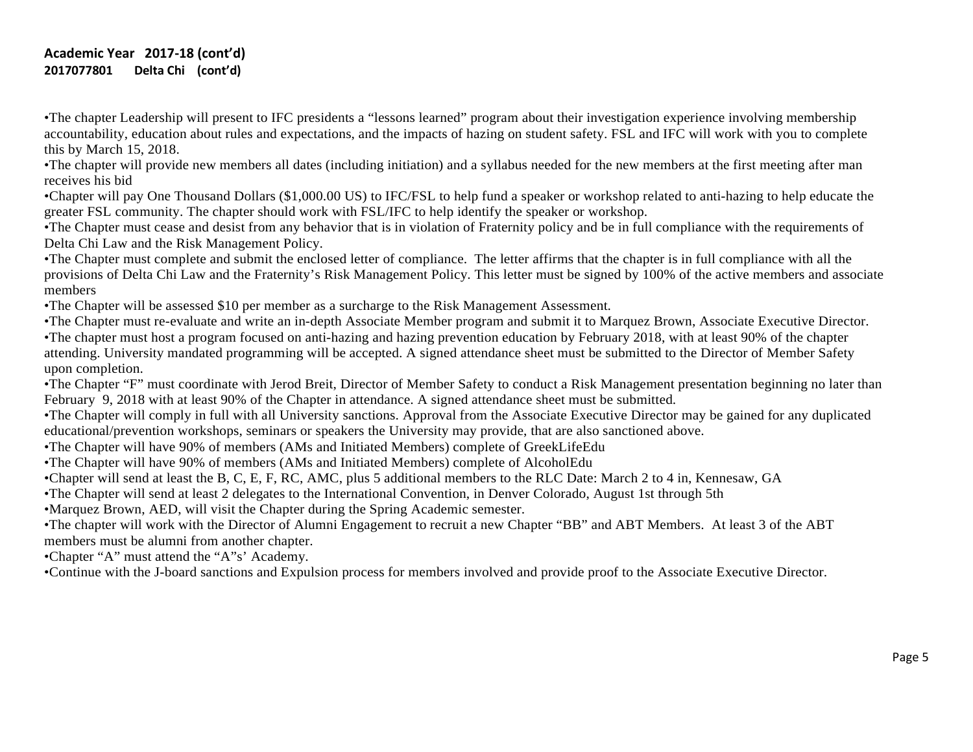# **Academic Year 2017-18 (cont'd) 2017077801 Delta Chi (cont'd)**

•The chapter Leadership will present to IFC presidents a "lessons learned" program about their investigation experience involving membership accountability, education about rules and expectations, and the impacts of hazing on student safety. FSL and IFC will work with you to complete this by March 15, 2018.

•The chapter will provide new members all dates (including initiation) and a syllabus needed for the new members at the first meeting after man receives his bid

•Chapter will pay One Thousand Dollars (\$1,000.00 US) to IFC/FSL to help fund a speaker or workshop related to anti-hazing to help educate the greater FSL community. The chapter should work with FSL/IFC to help identify the speaker or workshop.

•The Chapter must cease and desist from any behavior that is in violation of Fraternity policy and be in full compliance with the requirements of Delta Chi Law and the Risk Management Policy.

•The Chapter must complete and submit the enclosed letter of compliance. The letter affirms that the chapter is in full compliance with all the provisions of Delta Chi Law and the Fraternity's Risk Management Policy. This letter must be signed by 100% of the active members and associate members

•The Chapter will be assessed \$10 per member as a surcharge to the Risk Management Assessment.

•The Chapter must re-evaluate and write an in-depth Associate Member program and submit it to Marquez Brown, Associate Executive Director.

•The chapter must host a program focused on anti-hazing and hazing prevention education by February 2018, with at least 90% of the chapter attending. University mandated programming will be accepted. A signed attendance sheet must be submitted to the Director of Member Safety upon completion.

•The Chapter "F" must coordinate with Jerod Breit, Director of Member Safety to conduct a Risk Management presentation beginning no later than February 9, 2018 with at least 90% of the Chapter in attendance. A signed attendance sheet must be submitted.

•The Chapter will comply in full with all University sanctions. Approval from the Associate Executive Director may be gained for any duplicated educational/prevention workshops, seminars or speakers the University may provide, that are also sanctioned above.

•The Chapter will have 90% of members (AMs and Initiated Members) complete of GreekLifeEdu

•The Chapter will have 90% of members (AMs and Initiated Members) complete of AlcoholEdu

•Chapter will send at least the B, C, E, F, RC, AMC, plus 5 additional members to the RLC Date: March 2 to 4 in, Kennesaw, GA

•The Chapter will send at least 2 delegates to the International Convention, in Denver Colorado, August 1st through 5th

•Marquez Brown, AED, will visit the Chapter during the Spring Academic semester.

•The chapter will work with the Director of Alumni Engagement to recruit a new Chapter "BB" and ABT Members. At least 3 of the ABT members must be alumni from another chapter.

•Chapter "A" must attend the "A"s' Academy.

•Continue with the J-board sanctions and Expulsion process for members involved and provide proof to the Associate Executive Director.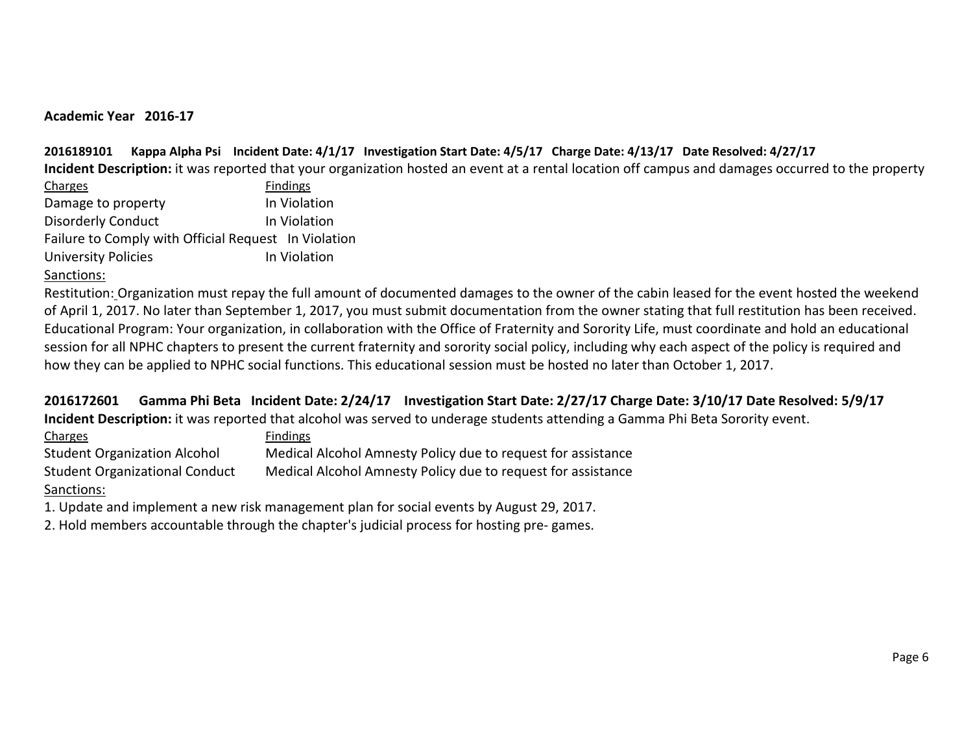# **Academic Year 2016-17**

# **2016189101 Kappa Alpha Psi Incident Date: 4/1/17 Investigation Start Date: 4/5/17 Charge Date: 4/13/17 Date Resolved: 4/27/17**

**Incident Description:** it was reported that your organization hosted an event at a rental location off campus and damages occurred to the property

| Charges                                              | <b>Findings</b> |
|------------------------------------------------------|-----------------|
| Damage to property                                   | In Violation    |
| <b>Disorderly Conduct</b>                            | In Violation    |
| Failure to Comply with Official Request In Violation |                 |
| <b>University Policies</b>                           | In Violation    |

# Sanctions:

Restitution: Organization must repay the full amount of documented damages to the owner of the cabin leased for the event hosted the weekend of April 1, 2017. No later than September 1, 2017, you must submit documentation from the owner stating that full restitution has been received. Educational Program: Your organization, in collaboration with the Office of Fraternity and Sorority Life, must coordinate and hold an educational session for all NPHC chapters to present the current fraternity and sorority social policy, including why each aspect of the policy is required and how they can be applied to NPHC social functions. This educational session must be hosted no later than October 1, 2017.

# **2016172601 Gamma Phi Beta Incident Date: 2/24/17 Investigation Start Date: 2/27/17 Charge Date: 3/10/17 Date Resolved: 5/9/17**

**Incident Description:** it was reported that alcohol was served to underage students attending a Gamma Phi Beta Sorority event.

| Charges                               | <b>Findings</b>                                              |
|---------------------------------------|--------------------------------------------------------------|
| <b>Student Organization Alcohol</b>   | Medical Alcohol Amnesty Policy due to request for assistance |
| <b>Student Organizational Conduct</b> | Medical Alcohol Amnesty Policy due to request for assistance |
| Sanctions:                            |                                                              |

1. Update and implement a new risk management plan for social events by August 29, 2017.

2. Hold members accountable through the chapter's judicial process for hosting pre- games.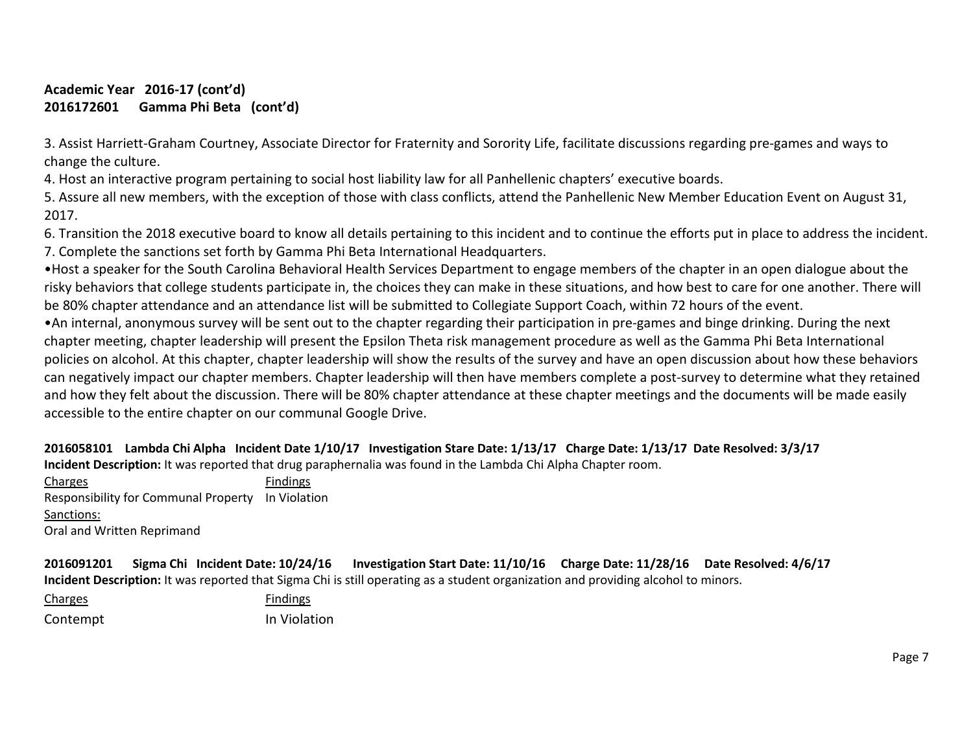# **Academic Year 2016-17 (cont'd) 2016172601 Gamma Phi Beta (cont'd)**

3. Assist Harriett-Graham Courtney, Associate Director for Fraternity and Sorority Life, facilitate discussions regarding pre-games and ways to change the culture.

4. Host an interactive program pertaining to social host liability law for all Panhellenic chapters' executive boards.

5. Assure all new members, with the exception of those with class conflicts, attend the Panhellenic New Member Education Event on August 31, 2017.

6. Transition the 2018 executive board to know all details pertaining to this incident and to continue the efforts put in place to address the incident. 7. Complete the sanctions set forth by Gamma Phi Beta International Headquarters.

•Host a speaker for the South Carolina Behavioral Health Services Department to engage members of the chapter in an open dialogue about the risky behaviors that college students participate in, the choices they can make in these situations, and how best to care for one another. There will be 80% chapter attendance and an attendance list will be submitted to Collegiate Support Coach, within 72 hours of the event.

•An internal, anonymous survey will be sent out to the chapter regarding their participation in pre-games and binge drinking. During the next chapter meeting, chapter leadership will present the Epsilon Theta risk management procedure as well as the Gamma Phi Beta International policies on alcohol. At this chapter, chapter leadership will show the results of the survey and have an open discussion about how these behaviors can negatively impact our chapter members. Chapter leadership will then have members complete a post-survey to determine what they retained and how they felt about the discussion. There will be 80% chapter attendance at these chapter meetings and the documents will be made easily accessible to the entire chapter on our communal Google Drive.

**2016058101 Lambda Chi Alpha Incident Date 1/10/17 Investigation Stare Date: 1/13/17 Charge Date: 1/13/17 Date Resolved: 3/3/17 Incident Description:** It was reported that drug paraphernalia was found in the Lambda Chi Alpha Chapter room.

Charges **Findings** Responsibility for Communal Property In Violation Sanctions: Oral and Written Reprimand

| 2016091201                                                                                                                         |  | Sigma Chi Incident Date: 10/24/16 | Investigation Start Date: 11/10/16  Charge Date: 11/28/16  Date Resolved: 4/6/17 |  |  |
|------------------------------------------------------------------------------------------------------------------------------------|--|-----------------------------------|----------------------------------------------------------------------------------|--|--|
| Incident Description: It was reported that Sigma Chi is still operating as a student organization and providing alcohol to minors. |  |                                   |                                                                                  |  |  |

Charges **Findings** Contempt **In Violation**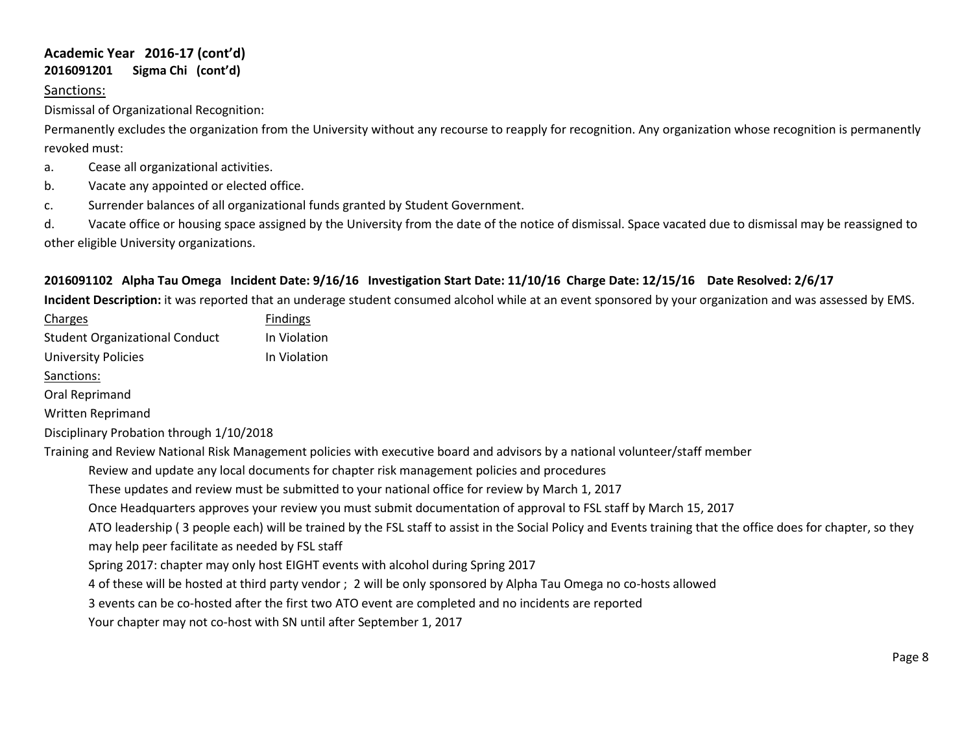# **Academic Year 2016-17 (cont'd) 2016091201 Sigma Chi (cont'd)**

# Sanctions:

Dismissal of Organizational Recognition:

Permanently excludes the organization from the University without any recourse to reapply for recognition. Any organization whose recognition is permanently revoked must:

- a. Cease all organizational activities.
- b. Vacate any appointed or elected office.
- c. Surrender balances of all organizational funds granted by Student Government.

d. Vacate office or housing space assigned by the University from the date of the notice of dismissal. Space vacated due to dismissal may be reassigned to other eligible University organizations.

# **2016091102 Alpha Tau Omega Incident Date: 9/16/16 Investigation Start Date: 11/10/16 Charge Date: 12/15/16 Date Resolved: 2/6/17**

**Incident Description:** it was reported that an underage student consumed alcohol while at an event sponsored by your organization and was assessed by EMS.

| <b>Charges</b>                                  | <b>Findings</b>                                                                                                                                              |
|-------------------------------------------------|--------------------------------------------------------------------------------------------------------------------------------------------------------------|
| <b>Student Organizational Conduct</b>           | In Violation                                                                                                                                                 |
| <b>University Policies</b>                      | In Violation                                                                                                                                                 |
| Sanctions:                                      |                                                                                                                                                              |
| Oral Reprimand                                  |                                                                                                                                                              |
| Written Reprimand                               |                                                                                                                                                              |
| Disciplinary Probation through 1/10/2018        |                                                                                                                                                              |
|                                                 | Training and Review National Risk Management policies with executive board and advisors by a national volunteer/staff member                                 |
|                                                 | Review and update any local documents for chapter risk management policies and procedures                                                                    |
|                                                 | These updates and review must be submitted to your national office for review by March 1, 2017                                                               |
|                                                 | Once Headquarters approves your review you must submit documentation of approval to FSL staff by March 15, 2017                                              |
|                                                 | ATO leadership (3 people each) will be trained by the FSL staff to assist in the Social Policy and Events training that the office does for chapter, so they |
| may help peer facilitate as needed by FSL staff |                                                                                                                                                              |
|                                                 | Spring 2017: chapter may only host EIGHT events with alcohol during Spring 2017                                                                              |
|                                                 | 4 of these will be hosted at third party vendor; 2 will be only sponsored by Alpha Tau Omega no co-hosts allowed                                             |
|                                                 | 3 events can be co-hosted after the first two ATO event are completed and no incidents are reported                                                          |
|                                                 | Your chapter may not co-host with SN until after September 1, 2017                                                                                           |
|                                                 |                                                                                                                                                              |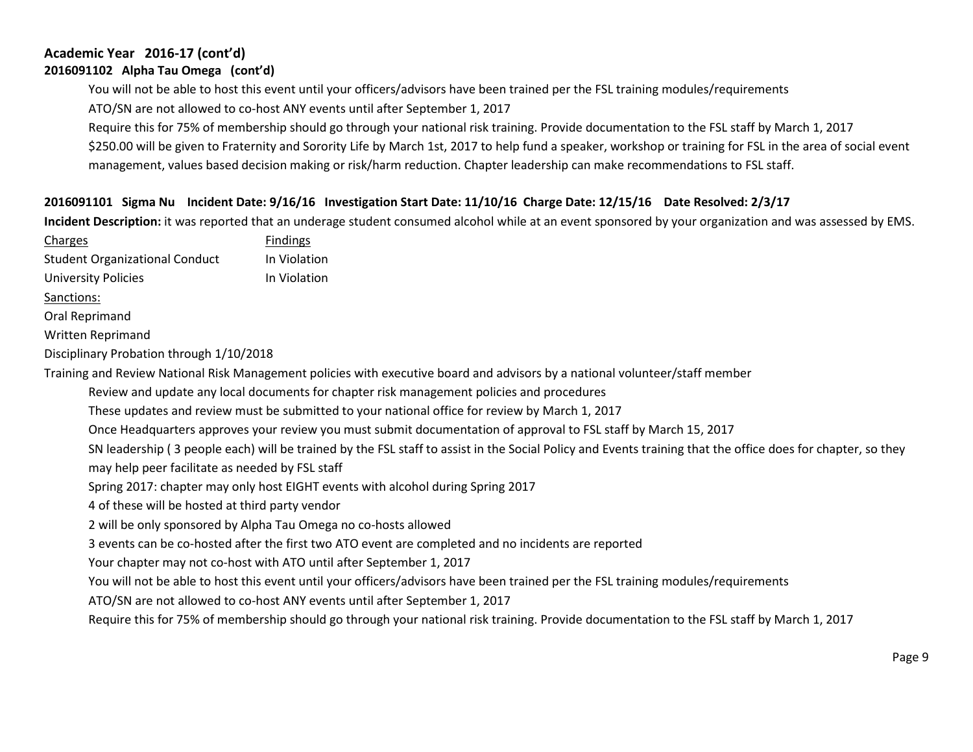# **Academic Year 2016-17 (cont'd) 2016091102 Alpha Tau Omega (cont'd)**

You will not be able to host this event until your officers/advisors have been trained per the FSL training modules/requirements

ATO/SN are not allowed to co-host ANY events until after September 1, 2017

Require this for 75% of membership should go through your national risk training. Provide documentation to the FSL staff by March 1, 2017

\$250.00 will be given to Fraternity and Sorority Life by March 1st, 2017 to help fund a speaker, workshop or training for FSL in the area of social event management, values based decision making or risk/harm reduction. Chapter leadership can make recommendations to FSL staff.

# **2016091101 Sigma Nu Incident Date: 9/16/16 Investigation Start Date: 11/10/16 Charge Date: 12/15/16 Date Resolved: 2/3/17**

**Incident Description:** it was reported that an underage student consumed alcohol while at an event sponsored by your organization and was assessed by EMS.

| Charges                                         | <b>Findings</b>                                                                                                                                             |
|-------------------------------------------------|-------------------------------------------------------------------------------------------------------------------------------------------------------------|
| <b>Student Organizational Conduct</b>           | In Violation                                                                                                                                                |
| <b>University Policies</b>                      | In Violation                                                                                                                                                |
| Sanctions:                                      |                                                                                                                                                             |
| Oral Reprimand                                  |                                                                                                                                                             |
| Written Reprimand                               |                                                                                                                                                             |
| Disciplinary Probation through 1/10/2018        |                                                                                                                                                             |
|                                                 | Training and Review National Risk Management policies with executive board and advisors by a national volunteer/staff member                                |
|                                                 | Review and update any local documents for chapter risk management policies and procedures                                                                   |
|                                                 | These updates and review must be submitted to your national office for review by March 1, 2017                                                              |
|                                                 | Once Headquarters approves your review you must submit documentation of approval to FSL staff by March 15, 2017                                             |
|                                                 | SN leadership (3 people each) will be trained by the FSL staff to assist in the Social Policy and Events training that the office does for chapter, so they |
| may help peer facilitate as needed by FSL staff |                                                                                                                                                             |
|                                                 | Spring 2017: chapter may only host EIGHT events with alcohol during Spring 2017                                                                             |
| 4 of these will be hosted at third party vendor |                                                                                                                                                             |
|                                                 | 2 will be only sponsored by Alpha Tau Omega no co-hosts allowed                                                                                             |
|                                                 | 3 events can be co-hosted after the first two ATO event are completed and no incidents are reported                                                         |
|                                                 | Your chapter may not co-host with ATO until after September 1, 2017                                                                                         |
|                                                 | You will not be able to host this event until your officers/advisors have been trained per the FSL training modules/requirements                            |
|                                                 | ATO/SN are not allowed to co-host ANY events until after September 1, 2017                                                                                  |
|                                                 | Require this for 75% of membership should go through your national risk training. Provide documentation to the FSL staff by March 1, 2017                   |
|                                                 |                                                                                                                                                             |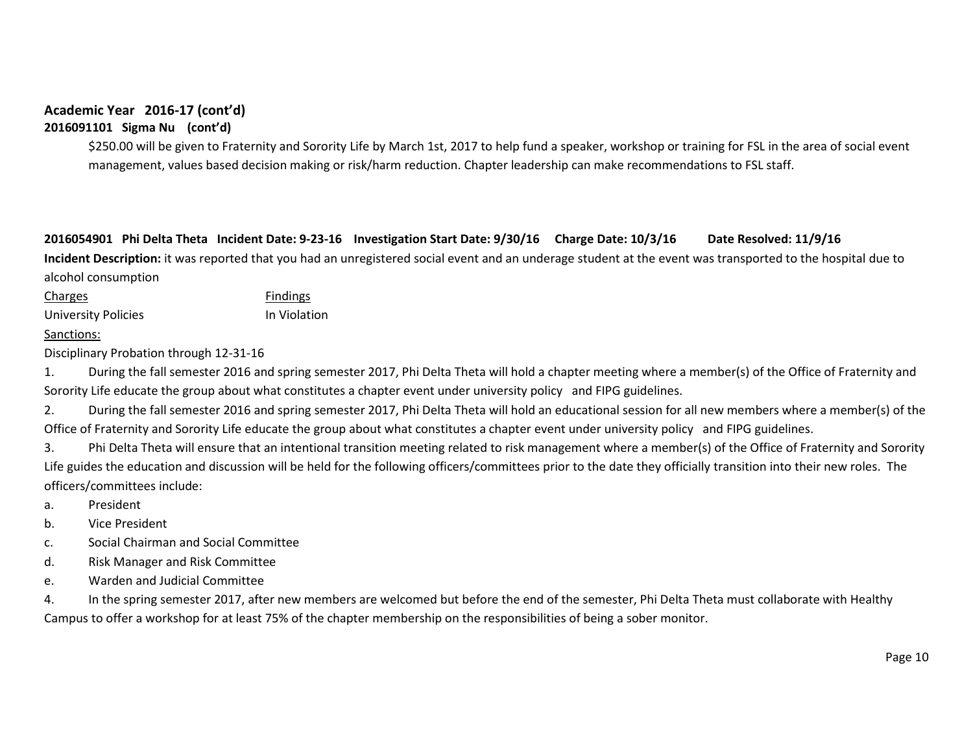**2016091101 Sigma Nu (cont'd)**

\$250.00 will be given to Fraternity and Sorority Life by March 1st, 2017 to help fund a speaker, workshop or training for FSL in the area of social event management, values based decision making or risk/harm reduction. Chapter leadership can make recommendations to FSL staff.

**2016054901 Phi Delta Theta Incident Date: 9-23-16 Investigation Start Date: 9/30/16 Charge Date: 10/3/16 Date Resolved: 11/9/16 Incident Description:** it was reported that you had an unregistered social event and an underage student at the event was transported to the hospital due to alcohol consumption

Charges **Findings** University Policies **In Violation** 

## Sanctions:

Disciplinary Probation through 12-31-16

1. During the fall semester 2016 and spring semester 2017, Phi Delta Theta will hold a chapter meeting where a member(s) of the Office of Fraternity and Sorority Life educate the group about what constitutes a chapter event under university policy and FIPG guidelines.

2. During the fall semester 2016 and spring semester 2017, Phi Delta Theta will hold an educational session for all new members where a member(s) of the Office of Fraternity and Sorority Life educate the group about what constitutes a chapter event under university policy and FIPG guidelines.

3. Phi Delta Theta will ensure that an intentional transition meeting related to risk management where a member(s) of the Office of Fraternity and Sorority Life guides the education and discussion will be held for the following officers/committees prior to the date they officially transition into their new roles. The officers/committees include:

- a. President
- b. Vice President
- c. Social Chairman and Social Committee
- d. Risk Manager and Risk Committee
- e. Warden and Judicial Committee

4. In the spring semester 2017, after new members are welcomed but before the end of the semester, Phi Delta Theta must collaborate with Healthy Campus to offer a workshop for at least 75% of the chapter membership on the responsibilities of being a sober monitor.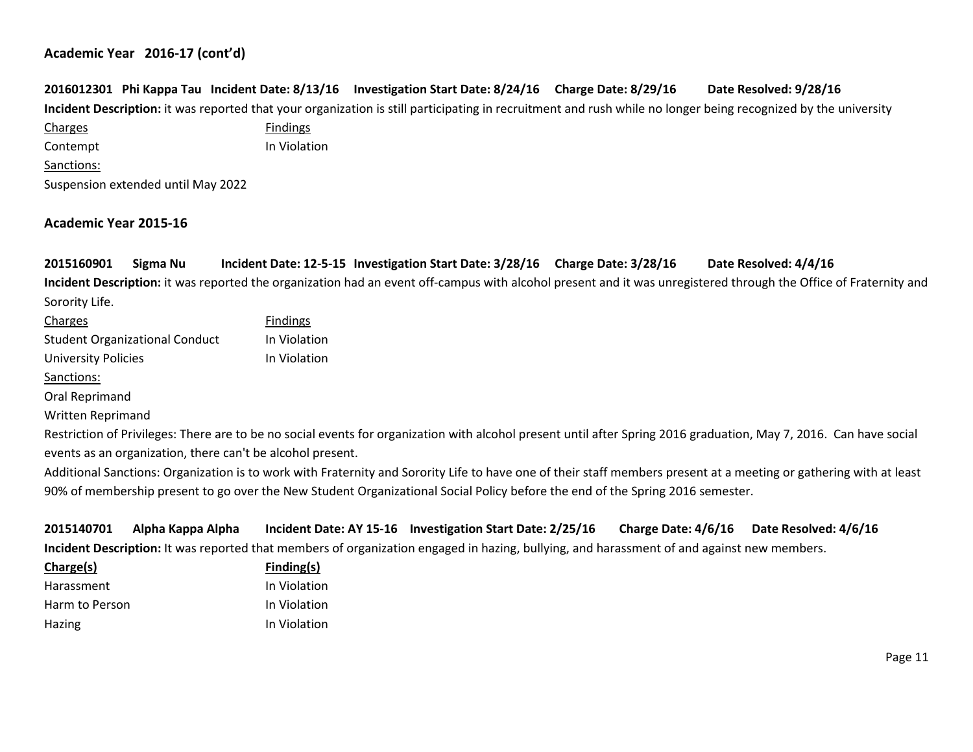|            |                                    |                 | 2016012301 Phi Kappa Tau Incident Date: 8/13/16 Investigation Start Date: 8/24/16 Charge Date: 8/29/16 | Date Resolved: 9/28/16                                                                                                                                         |
|------------|------------------------------------|-----------------|--------------------------------------------------------------------------------------------------------|----------------------------------------------------------------------------------------------------------------------------------------------------------------|
|            |                                    |                 |                                                                                                        | Incident Description: it was reported that your organization is still participating in recruitment and rush while no longer being recognized by the university |
| Charges    |                                    | <b>Findings</b> |                                                                                                        |                                                                                                                                                                |
| Contempt   |                                    | In Violation    |                                                                                                        |                                                                                                                                                                |
| Sanctions: |                                    |                 |                                                                                                        |                                                                                                                                                                |
|            | Suspension extended until May 2022 |                 |                                                                                                        |                                                                                                                                                                |

## **Academic Year 2015-16**

**2015160901 Sigma Nu Incident Date: 12-5-15 Investigation Start Date: 3/28/16 Charge Date: 3/28/16 Date Resolved: 4/4/16 Incident Description:** it was reported the organization had an event off-campus with alcohol present and it was unregistered through the Office of Fraternity and Sorority Life.

| Charges                                                   | <b>Findings</b> |
|-----------------------------------------------------------|-----------------|
| <b>Student Organizational Conduct</b>                     | In Violation    |
| <b>University Policies</b>                                | In Violation    |
| Sanctions:                                                |                 |
| Oral Reprimand                                            |                 |
| <b>Written Reprimand</b>                                  |                 |
| Restriction of Privileges: There are to be no social even |                 |

hts for organization with alcohol present until after Spring 2016 graduation, May 7, 2016. Can have social events as an organization, there can't be alcohol present.

Additional Sanctions: Organization is to work with Fraternity and Sorority Life to have one of their staff members present at a meeting or gathering with at least 90% of membership present to go over the New Student Organizational Social Policy before the end of the Spring 2016 semester.

| 2015140701     | Alpha Kappa Alpha |              | Incident Date: AY 15-16 Investigation Start Date: 2/25/16                                                                                  | Charge Date: 4/6/16 | Date Resolved: 4/6/16 |
|----------------|-------------------|--------------|--------------------------------------------------------------------------------------------------------------------------------------------|---------------------|-----------------------|
|                |                   |              | Incident Description: It was reported that members of organization engaged in hazing, bullying, and harassment of and against new members. |                     |                       |
| Charge(s)      |                   | Finding(s)   |                                                                                                                                            |                     |                       |
| Harassment     |                   | In Violation |                                                                                                                                            |                     |                       |
| Harm to Person |                   | In Violation |                                                                                                                                            |                     |                       |
| Hazing         |                   | In Violation |                                                                                                                                            |                     |                       |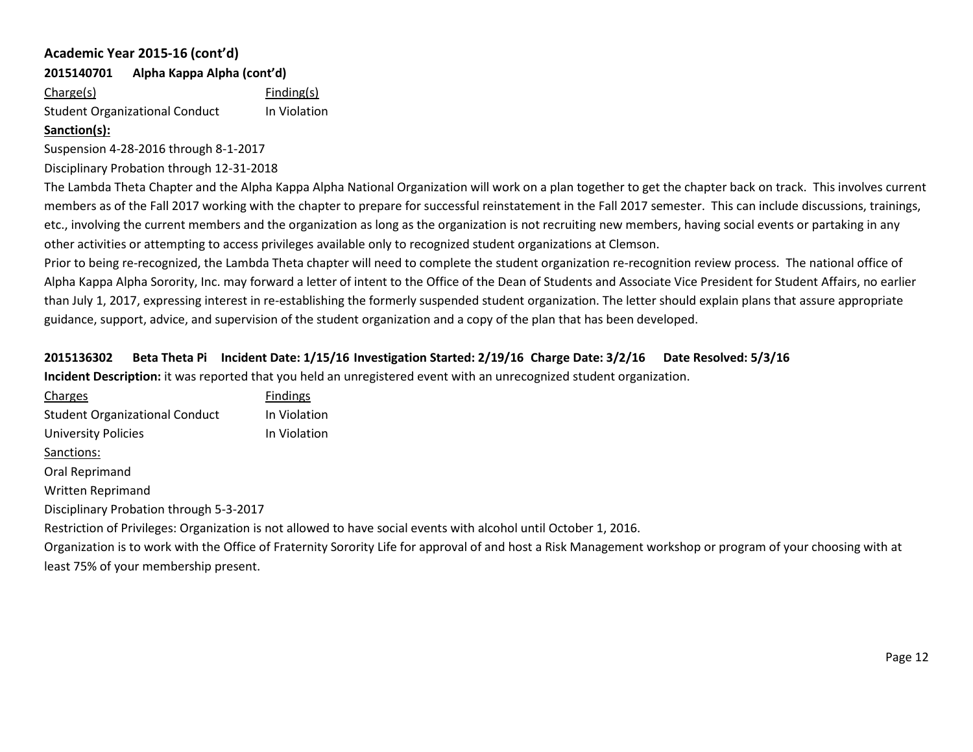**2015140701 Alpha Kappa Alpha (cont'd)**

Charge(s) Finding(s) Student Organizational Conduct In Violation

## **Sanction(s):**

Suspension 4-28-2016 through 8-1-2017

Disciplinary Probation through 12-31-2018

The Lambda Theta Chapter and the Alpha Kappa Alpha National Organization will work on a plan together to get the chapter back on track. This involves current members as of the Fall 2017 working with the chapter to prepare for successful reinstatement in the Fall 2017 semester. This can include discussions, trainings, etc., involving the current members and the organization as long as the organization is not recruiting new members, having social events or partaking in any other activities or attempting to access privileges available only to recognized student organizations at Clemson.

Prior to being re-recognized, the Lambda Theta chapter will need to complete the student organization re-recognition review process. The national office of Alpha Kappa Alpha Sorority, Inc. may forward a letter of intent to the Office of the Dean of Students and Associate Vice President for Student Affairs, no earlier than July 1, 2017, expressing interest in re-establishing the formerly suspended student organization. The letter should explain plans that assure appropriate guidance, support, advice, and supervision of the student organization and a copy of the plan that has been developed.

# **2015136302 Beta Theta Pi Incident Date: 1/15/16 Investigation Started: 2/19/16 Charge Date: 3/2/16 Date Resolved: 5/3/16 Incident Description:** it was reported that you held an unregistered event with an unrecognized student organization.

| Charges                                                                                                                                                     | <b>Findings</b> |  |  |
|-------------------------------------------------------------------------------------------------------------------------------------------------------------|-----------------|--|--|
| <b>Student Organizational Conduct</b>                                                                                                                       | In Violation    |  |  |
| <b>University Policies</b>                                                                                                                                  | In Violation    |  |  |
| Sanctions:                                                                                                                                                  |                 |  |  |
| Oral Reprimand                                                                                                                                              |                 |  |  |
| <b>Written Reprimand</b>                                                                                                                                    |                 |  |  |
| Disciplinary Probation through 5-3-2017                                                                                                                     |                 |  |  |
| Restriction of Privileges: Organization is not allowed to have social events with alcohol until October 1, 2016.                                            |                 |  |  |
| Organization is to work with the Office of Fraternity Sorority Life for approval of and host a Risk Management workshop or program of your choosing with at |                 |  |  |
| least 75% of your membership present.                                                                                                                       |                 |  |  |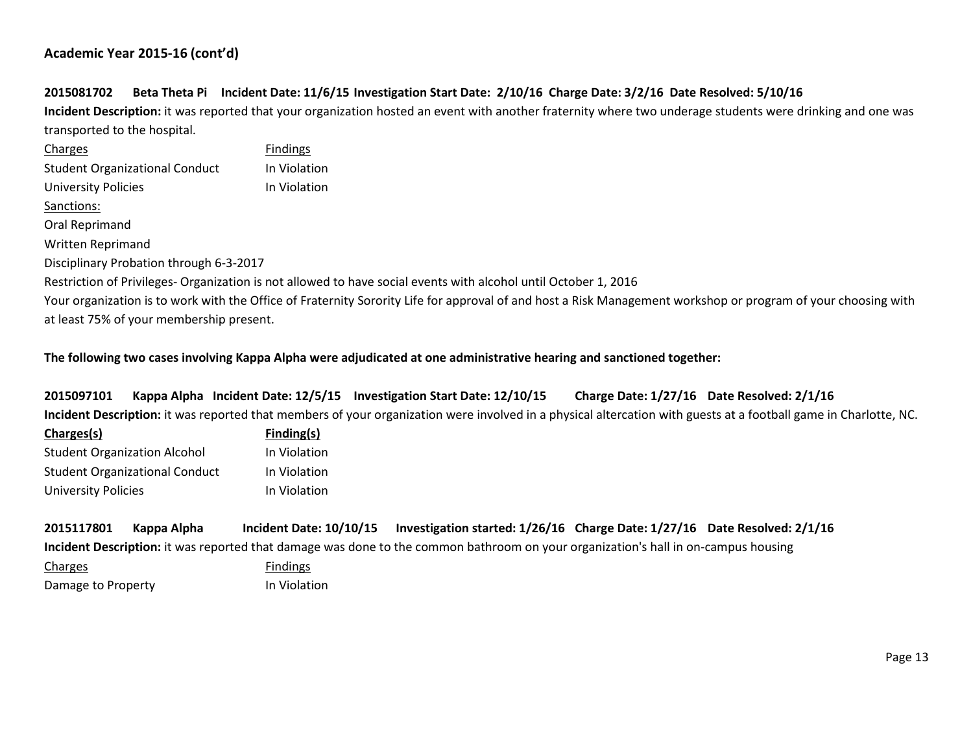# **2015081702 Beta Theta Pi Incident Date: 11/6/15 Investigation Start Date: 2/10/16 Charge Date: 3/2/16 Date Resolved: 5/10/16**

**Incident Description:** it was reported that your organization hosted an event with another fraternity where two underage students were drinking and one was transported to the hospital.

| Charges                                  | <b>Findings</b>                                                                                                                                               |
|------------------------------------------|---------------------------------------------------------------------------------------------------------------------------------------------------------------|
| <b>Student Organizational Conduct</b>    | In Violation                                                                                                                                                  |
| <b>University Policies</b>               | In Violation                                                                                                                                                  |
| Sanctions:                               |                                                                                                                                                               |
| Oral Reprimand                           |                                                                                                                                                               |
| <b>Written Reprimand</b>                 |                                                                                                                                                               |
| Disciplinary Probation through 6-3-2017  |                                                                                                                                                               |
|                                          | Restriction of Privileges-Organization is not allowed to have social events with alcohol until October 1, 2016                                                |
|                                          | Your organization is to work with the Office of Fraternity Sorority Life for approval of and host a Risk Management workshop or program of your choosing with |
| at least 75% of your membership present. |                                                                                                                                                               |

#### **The following two cases involving Kappa Alpha were adjudicated at one administrative hearing and sanctioned together:**

**2015097101 Kappa Alpha Incident Date: 12/5/15 Investigation Start Date: 12/10/15 Charge Date: 1/27/16 Date Resolved: 2/1/16 Incident Description:** it was reported that members of your organization were involved in a physical altercation with guests at a football game in Charlotte, NC.

| Charges(s)                            | Finding(s)   |  |
|---------------------------------------|--------------|--|
| <b>Student Organization Alcohol</b>   | In Violation |  |
| <b>Student Organizational Conduct</b> | In Violation |  |
| <b>University Policies</b>            | In Violation |  |

| 2015117801 Kappa Alpha | Incident Date: 10/10/15 | Investigation started: 1/26/16  Charge Date: 1/27/16  Date Resolved: 2/1/16                                                        |  |
|------------------------|-------------------------|------------------------------------------------------------------------------------------------------------------------------------|--|
|                        |                         | Incident Description: it was reported that damage was done to the common bathroom on your organization's hall in on-campus housing |  |

Charges **Findings** Damage to Property **In Violation**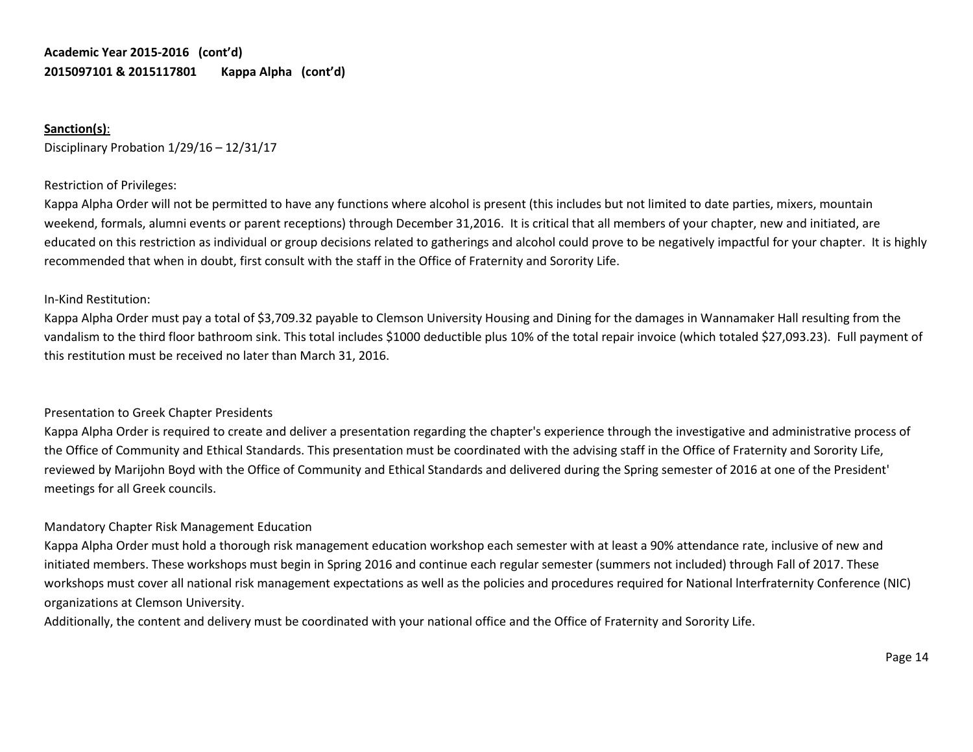# **Academic Year 2015-2016 (cont'd) 2015097101 & 2015117801 Kappa Alpha (cont'd)**

# **Sanction(s)**:

Disciplinary Probation 1/29/16 – 12/31/17

## Restriction of Privileges:

Kappa Alpha Order will not be permitted to have any functions where alcohol is present (this includes but not limited to date parties, mixers, mountain weekend, formals, alumni events or parent receptions) through December 31,2016. It is critical that all members of your chapter, new and initiated, are educated on this restriction as individual or group decisions related to gatherings and alcohol could prove to be negatively impactful for your chapter. It is highly recommended that when in doubt, first consult with the staff in the Office of Fraternity and Sorority Life.

## In-Kind Restitution:

Kappa Alpha Order must pay a total of \$3,709.32 payable to Clemson University Housing and Dining for the damages in Wannamaker Hall resulting from the vandalism to the third floor bathroom sink. This total includes \$1000 deductible plus 10% of the total repair invoice (which totaled \$27,093.23). Full payment of this restitution must be received no later than March 31, 2016.

# Presentation to Greek Chapter Presidents

Kappa Alpha Order is required to create and deliver a presentation regarding the chapter's experience through the investigative and administrative process of the Office of Community and Ethical Standards. This presentation must be coordinated with the advising staff in the Office of Fraternity and Sorority Life, reviewed by Marijohn Boyd with the Office of Community and Ethical Standards and delivered during the Spring semester of 2016 at one of the President' meetings for all Greek councils.

# Mandatory Chapter Risk Management Education

Kappa Alpha Order must hold a thorough risk management education workshop each semester with at least a 90% attendance rate, inclusive of new and initiated members. These workshops must begin in Spring 2016 and continue each regular semester (summers not included) through Fall of 2017. These workshops must cover all national risk management expectations as well as the policies and procedures required for National lnterfraternity Conference (NIC) organizations at Clemson University.

Additionally, the content and delivery must be coordinated with your national office and the Office of Fraternity and Sorority Life.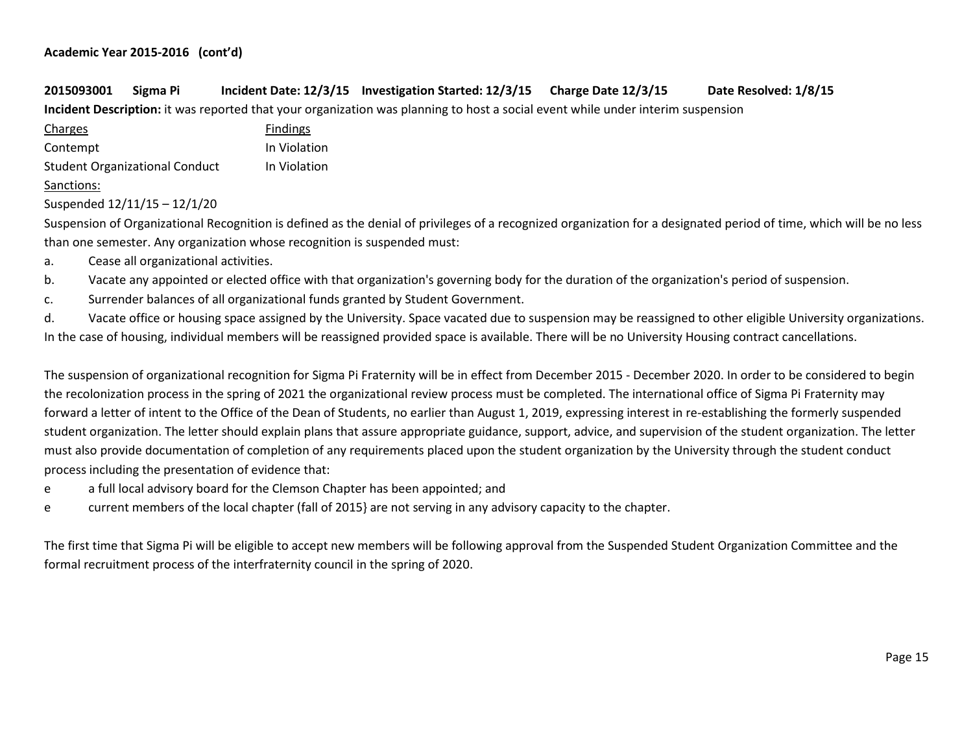# **2015093001 Sigma Pi Incident Date: 12/3/15 Investigation Started: 12/3/15 Charge Date 12/3/15 Date Resolved: 1/8/15**

**Incident Description:** it was reported that your organization was planning to host a social event while under interim suspension

| Charges                               | <b>Findings</b> |
|---------------------------------------|-----------------|
| Contempt                              | In Violation    |
| <b>Student Organizational Conduct</b> | In Violation    |
| $C$ anatianas                         |                 |

#### Sanctions:

Suspended 12/11/15 – 12/1/20

Suspension of Organizational Recognition is defined as the denial of privileges of a recognized organization for a designated period of time, which will be no less than one semester. Any organization whose recognition is suspended must:

- a. Cease all organizational activities.
- b. Vacate any appointed or elected office with that organization's governing body for the duration of the organization's period of suspension.
- c. Surrender balances of all organizational funds granted by Student Government.

d. Vacate office or housing space assigned by the University. Space vacated due to suspension may be reassigned to other eligible University organizations. In the case of housing, individual members will be reassigned provided space is available. There will be no University Housing contract cancellations.

The suspension of organizational recognition for Sigma Pi Fraternity will be in effect from December 2015 - December 2020. In order to be considered to begin the recolonization process in the spring of 2021 the organizational review process must be completed. The international office of Sigma Pi Fraternity may forward a letter of intent to the Office of the Dean of Students, no earlier than August 1, 2019, expressing interest in re-establishing the formerly suspended student organization. The letter should explain plans that assure appropriate guidance, support, advice, and supervision of the student organization. The letter must also provide documentation of completion of any requirements placed upon the student organization by the University through the student conduct process including the presentation of evidence that:

- e a full local advisory board for the Clemson Chapter has been appointed; and
- e current members of the local chapter (fall of 2015} are not serving in any advisory capacity to the chapter.

The first time that Sigma Pi will be eligible to accept new members will be following approval from the Suspended Student Organization Committee and the formal recruitment process of the interfraternity council in the spring of 2020.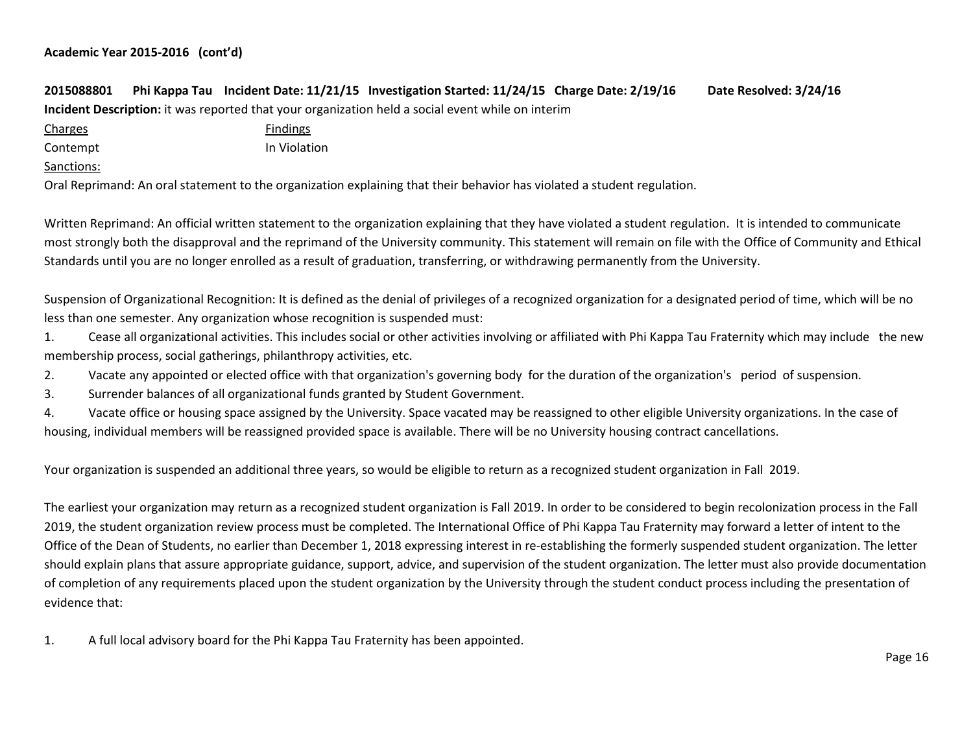# **2015088801 Phi Kappa Tau Incident Date: 11/21/15 Investigation Started: 11/24/15 Charge Date: 2/19/16 Date Resolved: 3/24/16 Incident Description:** it was reported that your organization held a social event while on interim Charges **Findings** Contempt **In Violation** Sanctions:

Oral Reprimand: An oral statement to the organization explaining that their behavior has violated a student regulation.

Written Reprimand: An official written statement to the organization explaining that they have violated a student regulation. It is intended to communicate most strongly both the disapproval and the reprimand of the University community. This statement will remain on file with the Office of Community and Ethical Standards until you are no longer enrolled as a result of graduation, transferring, or withdrawing permanently from the University.

Suspension of Organizational Recognition: It is defined as the denial of privileges of a recognized organization for a designated period of time, which will be no less than one semester. Any organization whose recognition is suspended must:

1. Cease all organizational activities. This includes social or other activities involving or affiliated with Phi Kappa Tau Fraternity which may include the new membership process, social gatherings, philanthropy activities, etc.

2. Vacate any appointed or elected office with that organization's governing body for the duration of the organization's period of suspension.

3. Surrender balances of all organizational funds granted by Student Government.

4. Vacate office or housing space assigned by the University. Space vacated may be reassigned to other eligible University organizations. In the case of housing, individual members will be reassigned provided space is available. There will be no University housing contract cancellations.

Your organization is suspended an additional three years, so would be eligible to return as a recognized student organization in Fall 2019.

The earliest your organization may return as a recognized student organization is Fall 2019. In order to be considered to begin recolonization process in the Fall 2019, the student organization review process must be completed. The International Office of Phi Kappa Tau Fraternity may forward a letter of intent to the Office of the Dean of Students, no earlier than December 1, 2018 expressing interest in re-establishing the formerly suspended student organization. The letter should explain plans that assure appropriate guidance, support, advice, and supervision of the student organization. The letter must also provide documentation of completion of any requirements placed upon the student organization by the University through the student conduct process including the presentation of evidence that:

1. A full local advisory board for the Phi Kappa Tau Fraternity has been appointed.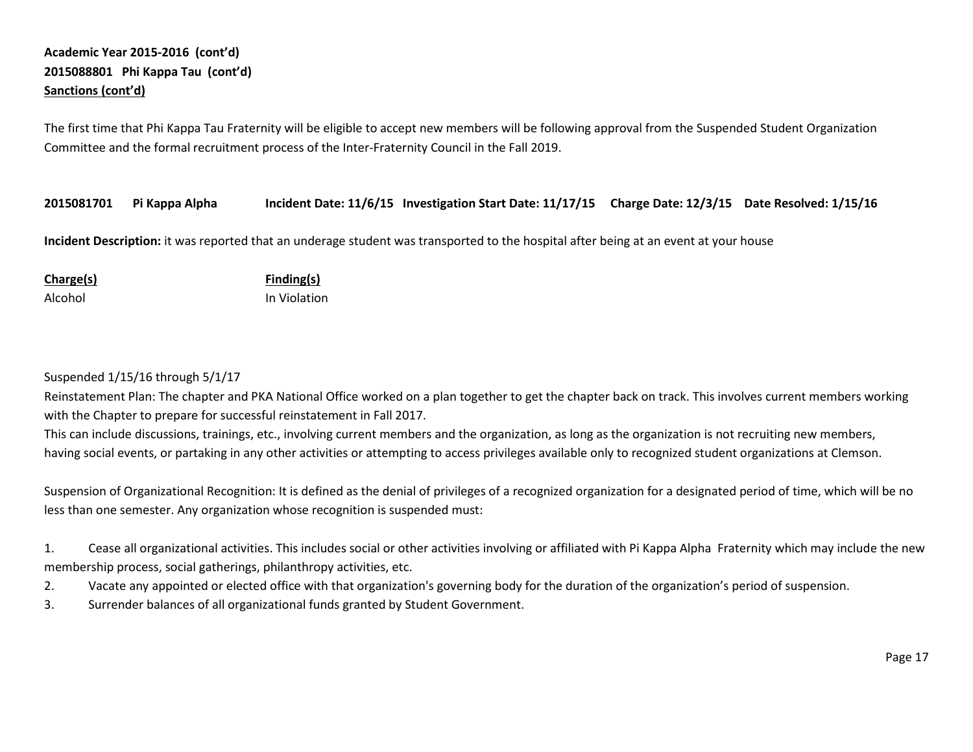# **Academic Year 2015-2016 (cont'd) 2015088801 Phi Kappa Tau (cont'd) Sanctions (cont'd)**

The first time that Phi Kappa Tau Fraternity will be eligible to accept new members will be following approval from the Suspended Student Organization Committee and the formal recruitment process of the Inter-Fraternity Council in the Fall 2019.

**2015081701 Pi Kappa Alpha Incident Date: 11/6/15 Investigation Start Date: 11/17/15 Charge Date: 12/3/15 Date Resolved: 1/15/16**

**Incident Description:** it was reported that an underage student was transported to the hospital after being at an event at your house

| <b>Charge(s)</b> | Finding(s)   |
|------------------|--------------|
| Alcohol          | In Violation |

Suspended 1/15/16 through 5/1/17

Reinstatement Plan: The chapter and PKA National Office worked on a plan together to get the chapter back on track. This involves current members working with the Chapter to prepare for successful reinstatement in Fall 2017.

This can include discussions, trainings, etc., involving current members and the organization, as long as the organization is not recruiting new members, having social events, or partaking in any other activities or attempting to access privileges available only to recognized student organizations at Clemson.

Suspension of Organizational Recognition: It is defined as the denial of privileges of a recognized organization for a designated period of time, which will be no less than one semester. Any organization whose recognition is suspended must:

1. Cease all organizational activities. This includes social or other activities involving or affiliated with Pi Kappa Alpha Fraternity which may include the new membership process, social gatherings, philanthropy activities, etc.

- 2. Vacate any appointed or elected office with that organization's governing body for the duration of the organization's period of suspension.
- 3. Surrender balances of all organizational funds granted by Student Government.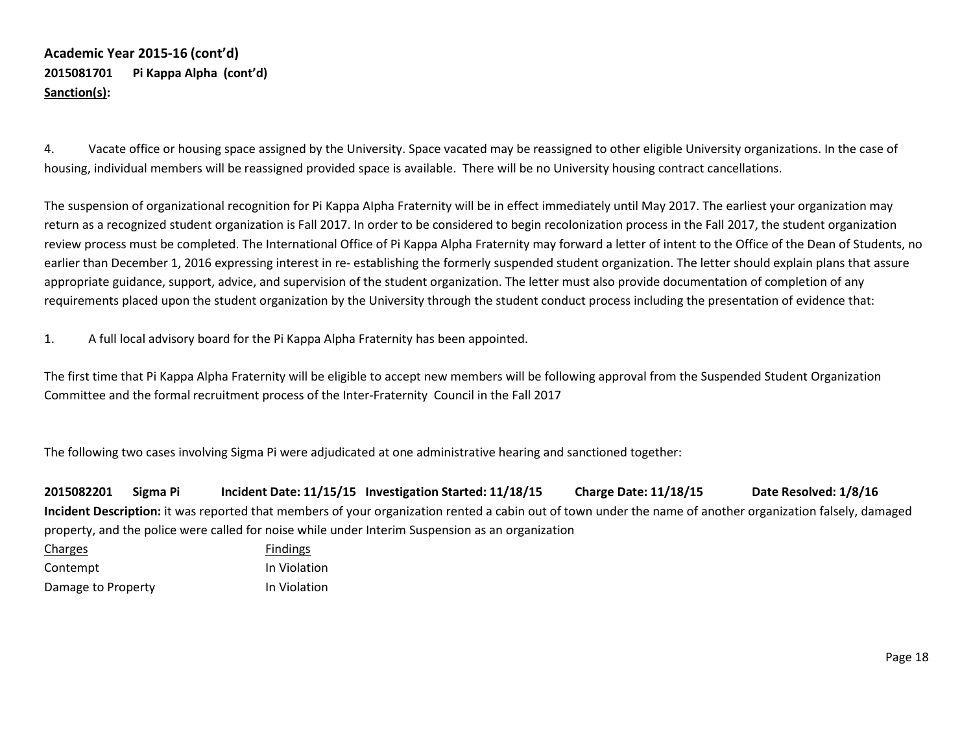# **Academic Year 2015-16 (cont'd) 2015081701 Pi Kappa Alpha (cont'd) Sanction(s):**

4. Vacate office or housing space assigned by the University. Space vacated may be reassigned to other eligible University organizations. In the case of housing, individual members will be reassigned provided space is available. There will be no University housing contract cancellations.

The suspension of organizational recognition for Pi Kappa AIpha Fraternity will be in effect immediately until May 2017. The earliest your organization may return as a recognized student organization is Fall 2017. In order to be considered to begin recolonization process in the Fall 2017, the student organization review process must be completed. The International Office of Pi Kappa Alpha Fraternity may forward a letter of intent to the Office of the Dean of Students, no earlier than December 1, 2016 expressing interest in re- establishing the formerly suspended student organization. The letter should explain plans that assure appropriate guidance, support, advice, and supervision of the student organization. The letter must also provide documentation of completion of any requirements placed upon the student organization by the University through the student conduct process including the presentation of evidence that:

1. A full local advisory board for the Pi Kappa Alpha Fraternity has been appointed.

The first time that Pi Kappa Alpha Fraternity will be eligible to accept new members will be following approval from the Suspended Student Organization Committee and the formal recruitment process of the Inter-Fraternity Council in the Fall 2017

The following two cases involving Sigma Pi were adjudicated at one administrative hearing and sanctioned together:

**2015082201 Sigma Pi Incident Date: 11/15/15 Investigation Started: 11/18/15 Charge Date: 11/18/15 Date Resolved: 1/8/16 Incident Description:** it was reported that members of your organization rented a cabin out of town under the name of another organization falsely, damaged property, and the police were called for noise while under Interim Suspension as an organization

Charges **Findings** Contempt **In Violation** Damage to Property **In Violation**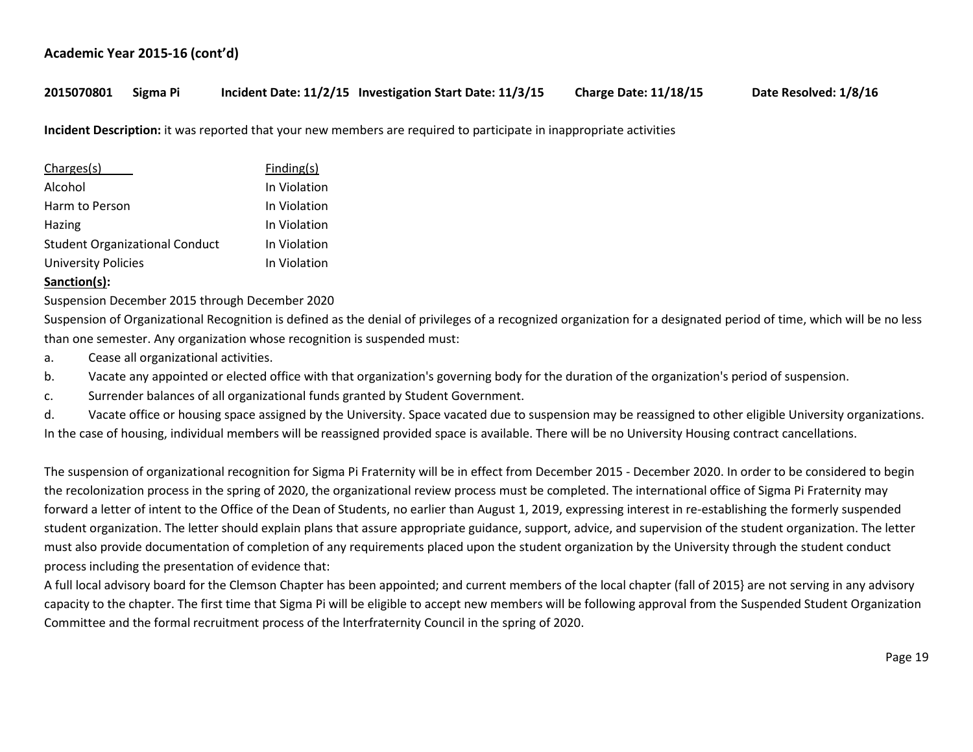# **2015070801 Sigma Pi Incident Date: 11/2/15 Investigation Start Date: 11/3/15 Charge Date: 11/18/15 Date Resolved: 1/8/16**

**Incident Description:** it was reported that your new members are required to participate in inappropriate activities

| Charges(s)                            | Finding(s)   |
|---------------------------------------|--------------|
| Alcohol                               | In Violation |
| Harm to Person                        | In Violation |
| Hazing                                | In Violation |
| <b>Student Organizational Conduct</b> | In Violation |
| <b>University Policies</b>            | In Violation |

#### **Sanction(s):**

Suspension December 2015 through December 2020

Suspension of Organizational Recognition is defined as the denial of privileges of a recognized organization for a designated period of time, which will be no less than one semester. Any organization whose recognition is suspended must:

- a. Cease all organizational activities.
- b. Vacate any appointed or elected office with that organization's governing body for the duration of the organization's period of suspension.
- c. Surrender balances of all organizational funds granted by Student Government.

d. Vacate office or housing space assigned by the University. Space vacated due to suspension may be reassigned to other eligible University organizations. In the case of housing, individual members will be reassigned provided space is available. There will be no University Housing contract cancellations.

The suspension of organizational recognition for Sigma Pi Fraternity will be in effect from December 2015 - December 2020. In order to be considered to begin the recolonization process in the spring of 2020, the organizational review process must be completed. The international office of Sigma Pi Fraternity may forward a letter of intent to the Office of the Dean of Students, no earlier than August 1, 2019, expressing interest in re-establishing the formerly suspended student organization. The letter should explain plans that assure appropriate guidance, support, advice, and supervision of the student organization. The letter must also provide documentation of completion of any requirements placed upon the student organization by the University through the student conduct process including the presentation of evidence that:

A full local advisory board for the Clemson Chapter has been appointed; and current members of the local chapter (fall of 2015} are not serving in any advisory capacity to the chapter. The first time that Sigma Pi will be eligible to accept new members will be following approval from the Suspended Student Organization Committee and the formal recruitment process of the lnterfraternity Council in the spring of 2020.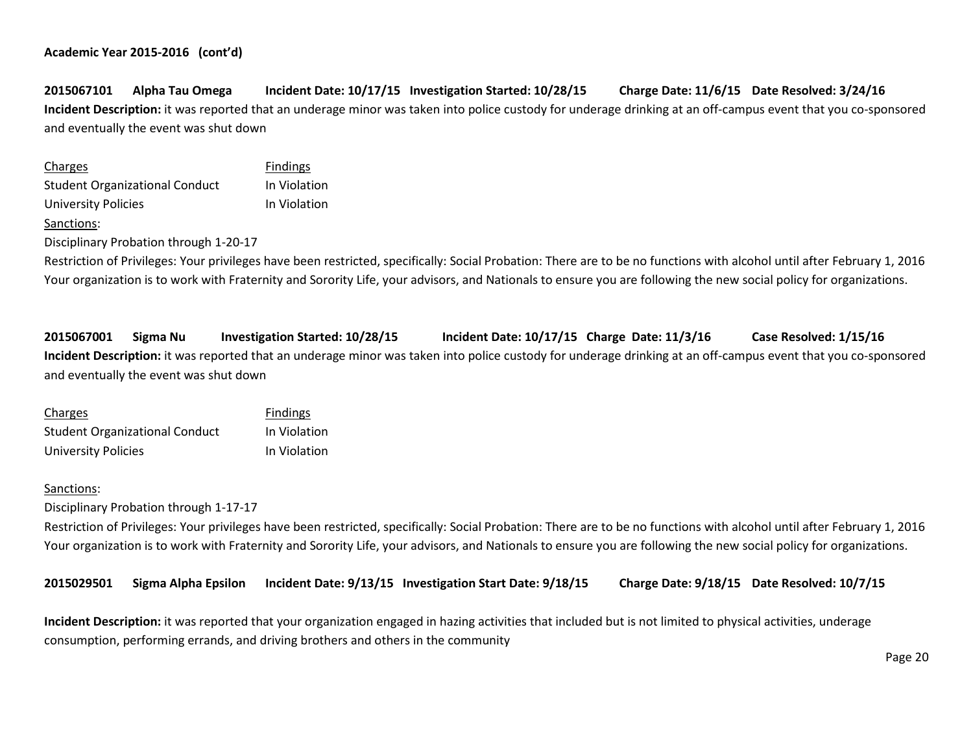# **2015067101 Alpha Tau Omega Incident Date: 10/17/15 Investigation Started: 10/28/15 Charge Date: 11/6/15 Date Resolved: 3/24/16 Incident Description:** it was reported that an underage minor was taken into police custody for underage drinking at an off-campus event that you co-sponsored and eventually the event was shut down

| Charges                               | <b>Findings</b> |
|---------------------------------------|-----------------|
| <b>Student Organizational Conduct</b> | In Violation    |
| University Policies                   | In Violation    |
| Sanctions:                            |                 |

Disciplinary Probation through 1-20-17

Restriction of Privileges: Your privileges have been restricted, specifically: Social Probation: There are to be no functions with alcohol until after February 1, 2016 Your organization is to work with Fraternity and Sorority Life, your advisors, and Nationals to ensure you are following the new social policy for organizations.

**2015067001 Sigma Nu Investigation Started: 10/28/15 Incident Date: 10/17/15 Charge Date: 11/3/16 Case Resolved: 1/15/16 Incident Description:** it was reported that an underage minor was taken into police custody for underage drinking at an off-campus event that you co-sponsored and eventually the event was shut down

| <b>Charges</b>                        | <b>Findings</b> |
|---------------------------------------|-----------------|
| <b>Student Organizational Conduct</b> | In Violation    |
| University Policies                   | In Violation    |

#### Sanctions:

Disciplinary Probation through 1-17-17

Restriction of Privileges: Your privileges have been restricted, specifically: Social Probation: There are to be no functions with alcohol until after February 1, 2016 Your organization is to work with Fraternity and Sorority Life, your advisors, and Nationals to ensure you are following the new social policy for organizations.

**2015029501 Sigma Alpha Epsilon Incident Date: 9/13/15 Investigation Start Date: 9/18/15 Charge Date: 9/18/15 Date Resolved: 10/7/15**

**Incident Description:** it was reported that your organization engaged in hazing activities that included but is not limited to physical activities, underage consumption, performing errands, and driving brothers and others in the community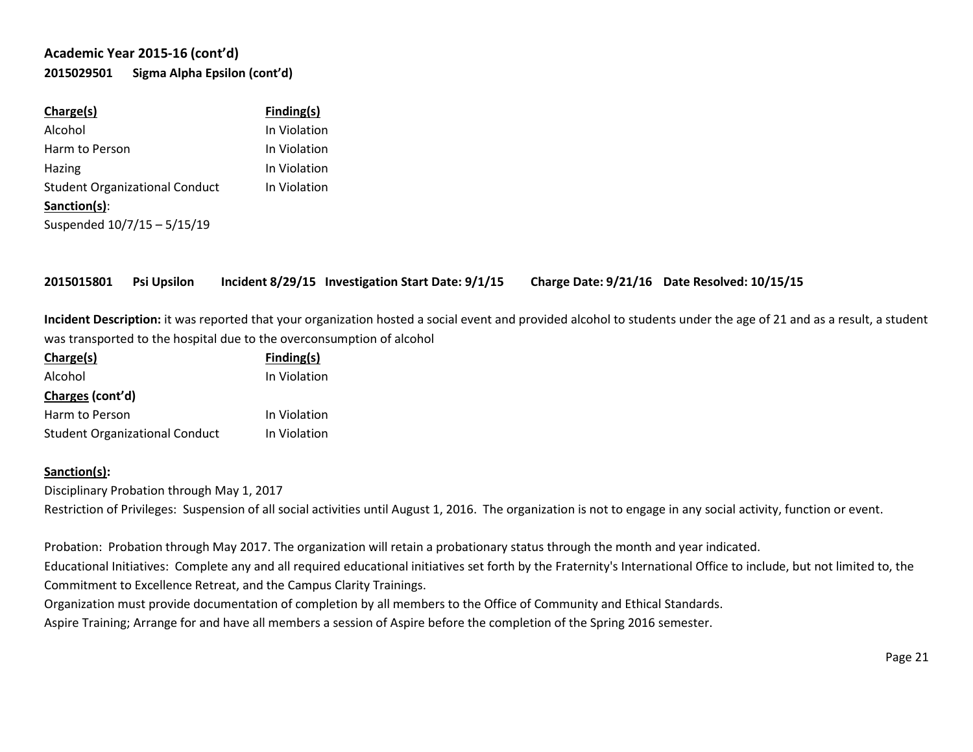# **Academic Year 2015-16 (cont'd) 2015029501 Sigma Alpha Epsilon (cont'd)**

| Charge(s)                             | Finding(s)   |
|---------------------------------------|--------------|
| Alcohol                               | In Violation |
| Harm to Person                        | In Violation |
| Hazing                                | In Violation |
| <b>Student Organizational Conduct</b> | In Violation |
| Sanction(s):                          |              |
| Suspended 10/7/15 - 5/15/19           |              |
|                                       |              |

**2015015801 Psi Upsilon Incident 8/29/15 Investigation Start Date: 9/1/15 Charge Date: 9/21/16 Date Resolved: 10/15/15**

**Incident Description:** it was reported that your organization hosted a social event and provided alcohol to students under the age of 21 and as a result, a student was transported to the hospital due to the overconsumption of alcohol

| Charge(s)                             | Finding(s)   |
|---------------------------------------|--------------|
| Alcohol                               | In Violation |
| Charges (cont'd)                      |              |
| Harm to Person                        | In Violation |
| <b>Student Organizational Conduct</b> | In Violation |

#### **Sanction(s):**

Disciplinary Probation through May 1, 2017

Restriction of Privileges: Suspension of all social activities until August 1, 2016. The organization is not to engage in any social activity, function or event.

Probation: Probation through May 2017. The organization will retain a probationary status through the month and year indicated. Educational Initiatives: Complete any and all required educational initiatives set forth by the Fraternity's International Office to include, but not limited to, the Commitment to Excellence Retreat, and the Campus Clarity Trainings.

Organization must provide documentation of completion by all members to the Office of Community and Ethical Standards.

Aspire Training; Arrange for and have all members a session of Aspire before the completion of the Spring 2016 semester.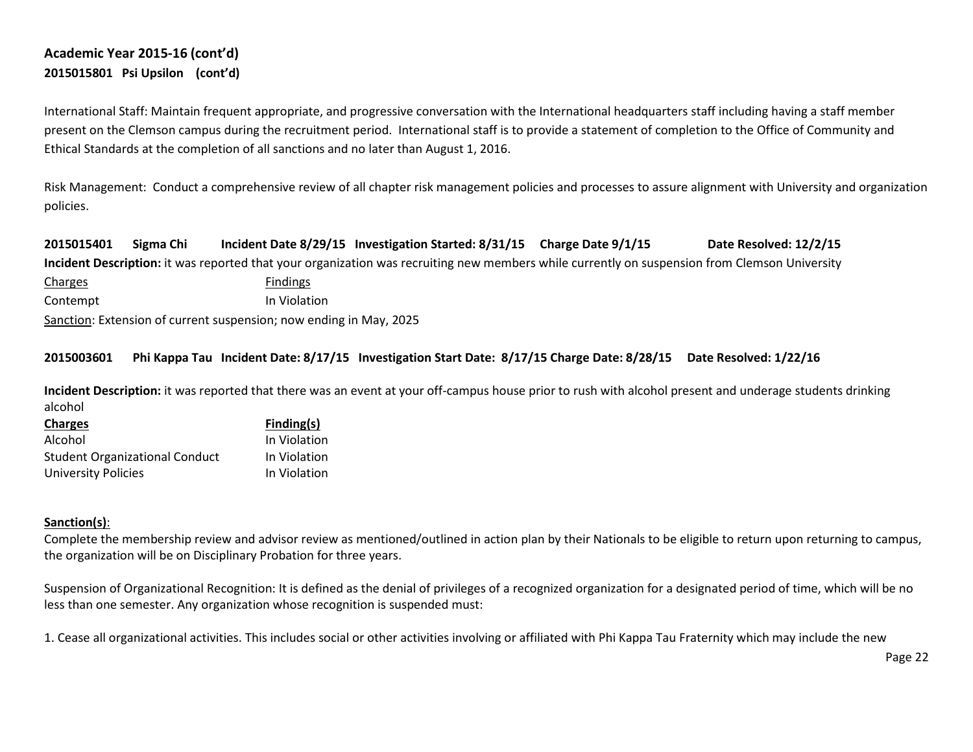# **Academic Year 2015-16 (cont'd) 2015015801 Psi Upsilon (cont'd)**

International Staff: Maintain frequent appropriate, and progressive conversation with the International headquarters staff including having a staff member present on the Clemson campus during the recruitment period. International staff is to provide a statement of completion to the Office of Community and Ethical Standards at the completion of all sanctions and no later than August 1, 2016.

Risk Management: Conduct a comprehensive review of all chapter risk management policies and processes to assure alignment with University and organization policies.

**2015015401 Sigma Chi Incident Date 8/29/15 Investigation Started: 8/31/15 Charge Date 9/1/15 Date Resolved: 12/2/15 Incident Description:** it was reported that your organization was recruiting new members while currently on suspension from Clemson University

Charges Findings Contempt In Violation Sanction: Extension of current suspension; now ending in May, 2025

## **2015003601 Phi Kappa Tau Incident Date: 8/17/15 Investigation Start Date: 8/17/15 Charge Date: 8/28/15 Date Resolved: 1/22/16**

**Incident Description:** it was reported that there was an event at your off-campus house prior to rush with alcohol present and underage students drinking alcohol

| Finding(s)   |
|--------------|
| In Violation |
| In Violation |
| In Violation |
|              |

#### **Sanction(s)**:

Complete the membership review and advisor review as mentioned/outlined in action plan by their Nationals to be eligible to return upon returning to campus, the organization will be on Disciplinary Probation for three years.

Suspension of Organizational Recognition: It is defined as the denial of privileges of a recognized organization for a designated period of time, which will be no less than one semester. Any organization whose recognition is suspended must:

1. Cease all organizational activities. This includes social or other activities involving or affiliated with Phi Kappa Tau Fraternity which may include the new

Page 22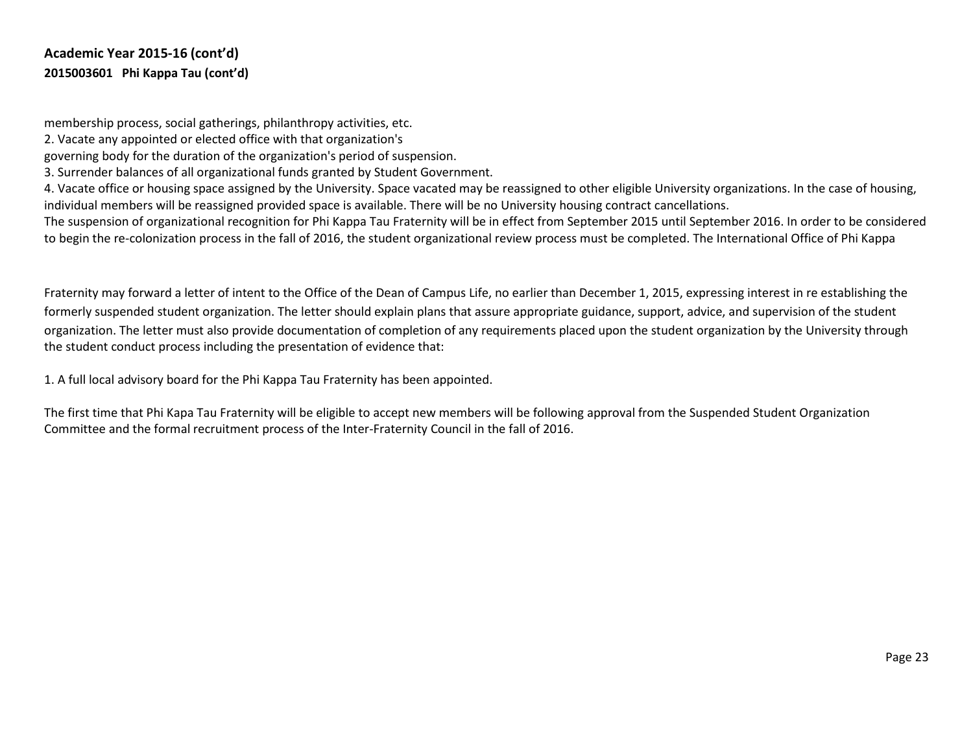membership process, social gatherings, philanthropy activities, etc.

2. Vacate any appointed or elected office with that organization's

governing body for the duration of the organization's period of suspension.

3. Surrender balances of all organizational funds granted by Student Government.

4. Vacate office or housing space assigned by the University. Space vacated may be reassigned to other eligible University organizations. In the case of housing, individual members will be reassigned provided space is available. There will be no University housing contract cancellations.

The suspension of organizational recognition for Phi Kappa Tau Fraternity will be in effect from September 2015 until September 2016. In order to be considered to begin the re-colonization process in the fall of 2016, the student organizational review process must be completed. The International Office of Phi Kappa

Fraternity may forward a letter of intent to the Office of the Dean of Campus Life, no earlier than December 1, 2015, expressing interest in re establishing the formerly suspended student organization. The letter should explain plans that assure appropriate guidance, support, advice, and supervision of the student organization. The letter must also provide documentation of completion of any requirements placed upon the student organization by the University through the student conduct process including the presentation of evidence that:

1. A full local advisory board for the Phi Kappa Tau Fraternity has been appointed.

The first time that Phi Kapa Tau Fraternity will be eligible to accept new members will be following approval from the Suspended Student Organization Committee and the formal recruitment process of the Inter-Fraternity Council in the fall of 2016.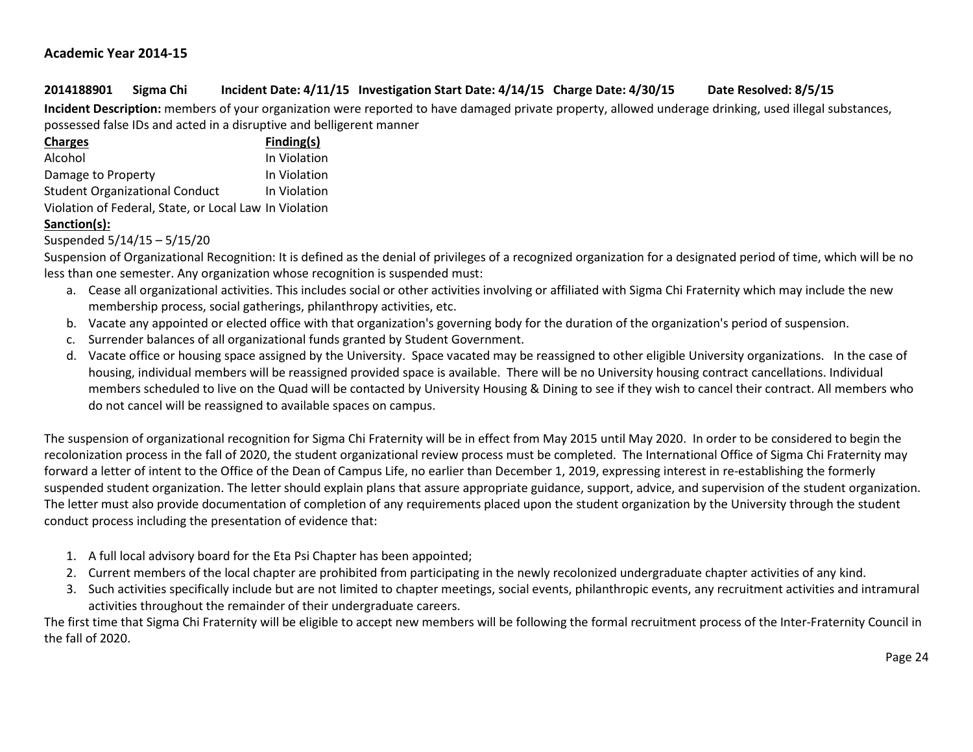## **Academic Year 2014-15**

# **2014188901 Sigma Chi Incident Date: 4/11/15 Investigation Start Date: 4/14/15 Charge Date: 4/30/15 Date Resolved: 8/5/15**

**Incident Description:** members of your organization were reported to have damaged private property, allowed underage drinking, used illegal substances, possessed false IDs and acted in a disruptive and belligerent manner

| <b>Charges</b>                                         | Finding(s)   |
|--------------------------------------------------------|--------------|
| Alcohol                                                | In Violation |
| Damage to Property                                     | In Violation |
| <b>Student Organizational Conduct</b>                  | In Violation |
| Violation of Federal, State, or Local Law In Violation |              |

## **Sanction(s):**

Suspended 5/14/15 – 5/15/20

Suspension of Organizational Recognition: It is defined as the denial of privileges of a recognized organization for a designated period of time, which will be no less than one semester. Any organization whose recognition is suspended must:

- a. Cease all organizational activities. This includes social or other activities involving or affiliated with Sigma Chi Fraternity which may include the new membership process, social gatherings, philanthropy activities, etc.
- b. Vacate any appointed or elected office with that organization's governing body for the duration of the organization's period of suspension.
- c. Surrender balances of all organizational funds granted by Student Government.
- d. Vacate office or housing space assigned by the University. Space vacated may be reassigned to other eligible University organizations. In the case of housing, individual members will be reassigned provided space is available. There will be no University housing contract cancellations. Individual members scheduled to live on the Quad will be contacted by University Housing & Dining to see if they wish to cancel their contract. All members who do not cancel will be reassigned to available spaces on campus.

The suspension of organizational recognition for Sigma Chi Fraternity will be in effect from May 2015 until May 2020. In order to be considered to begin the recolonization process in the fall of 2020, the student organizational review process must be completed. The International Office of Sigma Chi Fraternity may forward a letter of intent to the Office of the Dean of Campus Life, no earlier than December 1, 2019, expressing interest in re-establishing the formerly suspended student organization. The letter should explain plans that assure appropriate guidance, support, advice, and supervision of the student organization. The letter must also provide documentation of completion of any requirements placed upon the student organization by the University through the student conduct process including the presentation of evidence that:

- 1. A full local advisory board for the Eta Psi Chapter has been appointed;
- 2. Current members of the local chapter are prohibited from participating in the newly recolonized undergraduate chapter activities of any kind.
- 3. Such activities specifically include but are not limited to chapter meetings, social events, philanthropic events, any recruitment activities and intramural activities throughout the remainder of their undergraduate careers.

The first time that Sigma Chi Fraternity will be eligible to accept new members will be following the formal recruitment process of the Inter-Fraternity Council in the fall of 2020.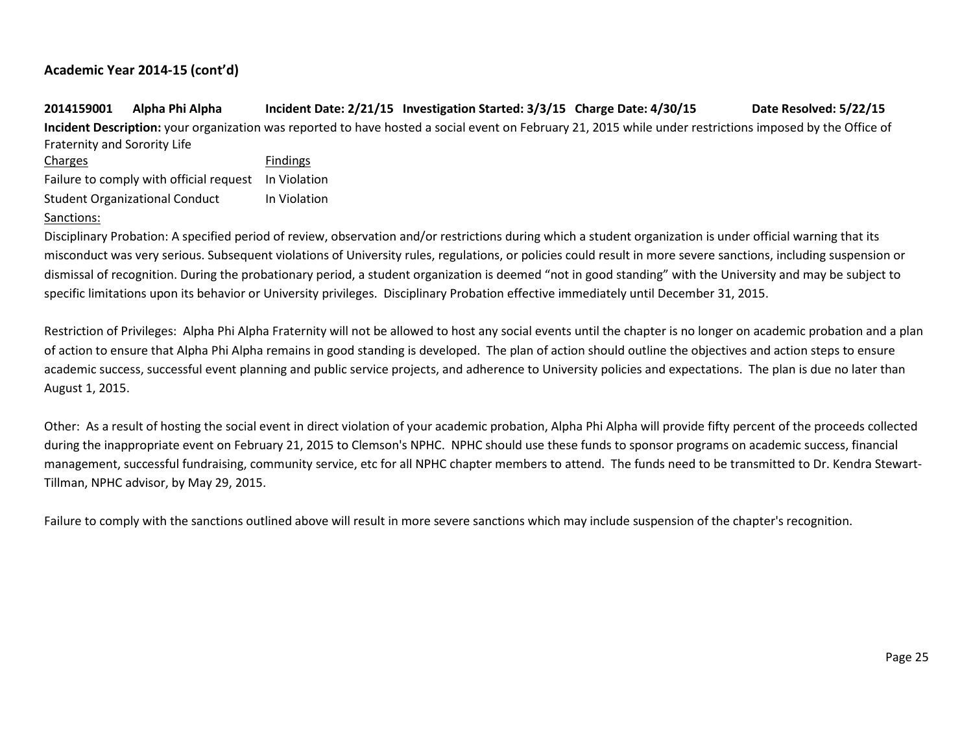**2014159001 Alpha Phi Alpha Incident Date: 2/21/15 Investigation Started: 3/3/15 Charge Date: 4/30/15 Date Resolved: 5/22/15 Incident Description:** your organization was reported to have hosted a social event on February 21, 2015 while under restrictions imposed by the Office of Fraternity and Sorority Life Charges **Findings** Failure to comply with official request In Violation

Student Organizational Conduct In Violation

#### Sanctions:

Disciplinary Probation: A specified period of review, observation and/or restrictions during which a student organization is under official warning that its misconduct was very serious. Subsequent violations of University rules, regulations, or policies could result in more severe sanctions, including suspension or dismissal of recognition. During the probationary period, a student organization is deemed "not in good standing" with the University and may be subject to specific limitations upon its behavior or University privileges. Disciplinary Probation effective immediately until December 31, 2015.

Restriction of Privileges: Alpha Phi Alpha Fraternity will not be allowed to host any social events until the chapter is no longer on academic probation and a plan of action to ensure that Alpha Phi Alpha remains in good standing is developed. The plan of action should outline the objectives and action steps to ensure academic success, successful event planning and public service projects, and adherence to University policies and expectations. The plan is due no later than August 1, 2015.

Other: As a result of hosting the social event in direct violation of your academic probation, Alpha Phi Alpha will provide fifty percent of the proceeds collected during the inappropriate event on February 21, 2015 to Clemson's NPHC. NPHC should use these funds to sponsor programs on academic success, financial management, successful fundraising, community service, etc for all NPHC chapter members to attend. The funds need to be transmitted to Dr. Kendra Stewart-Tillman, NPHC advisor, by May 29, 2015.

Failure to comply with the sanctions outlined above will result in more severe sanctions which may include suspension of the chapter's recognition.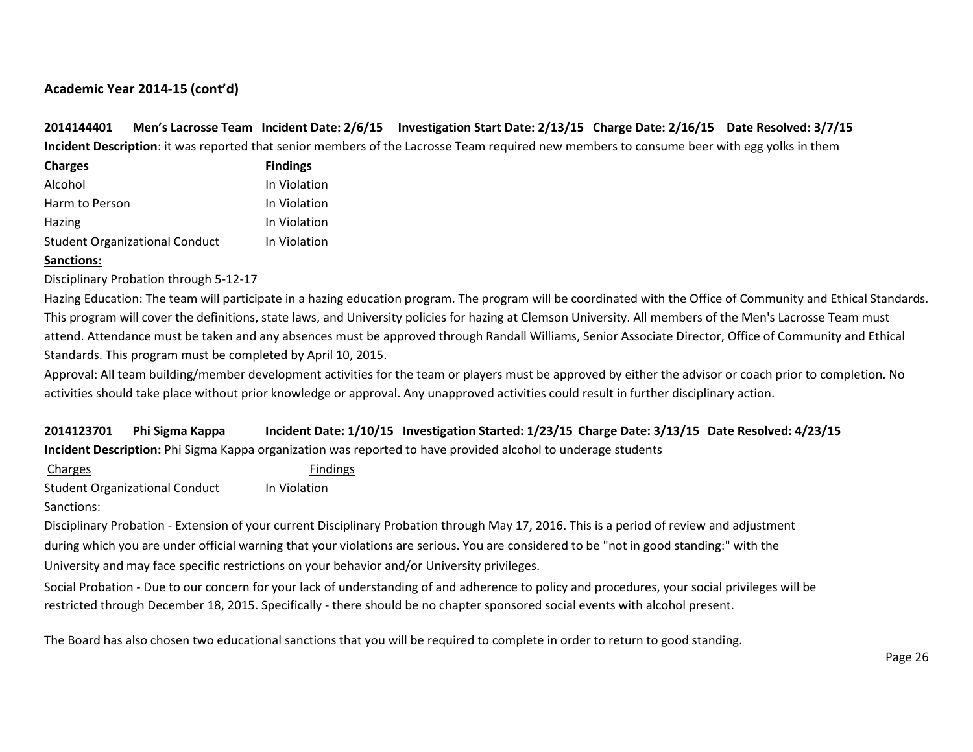**2014144401 Men's Lacrosse Team Incident Date: 2/6/15 Investigation Start Date: 2/13/15 Charge Date: 2/16/15 Date Resolved: 3/7/15 Incident Description**: it was reported that senior members of the Lacrosse Team required new members to consume beer with egg yolks in them

| <b>Charges</b>                        | <b>Findings</b> |
|---------------------------------------|-----------------|
| Alcohol                               | In Violation    |
| Harm to Person                        | In Violation    |
| <b>Hazing</b>                         | In Violation    |
| <b>Student Organizational Conduct</b> | In Violation    |

## **Sanctions:**

Disciplinary Probation through 5-12-17

Hazing Education: The team will participate in a hazing education program. The program will be coordinated with the Office of Community and Ethical Standards. This program will cover the definitions, state laws, and University policies for hazing at Clemson University. All members of the Men's Lacrosse Team must attend. Attendance must be taken and any absences must be approved through Randall Williams, Senior Associate Director, Office of Community and Ethical Standards. This program must be completed by April 10, 2015.

Approval: All team building/member development activities for the team or players must be approved by either the advisor or coach prior to completion. No activities should take place without prior knowledge or approval. Any unapproved activities could result in further disciplinary action.

**2014123701 Phi Sigma Kappa Incident Date: 1/10/15 Investigation Started: 1/23/15 Charge Date: 3/13/15 Date Resolved: 4/23/15 Incident Description:** Phi Sigma Kappa organization was reported to have provided alcohol to underage students

Charges **Findings** Student Organizational Conduct In Violation

Sanctions:

Disciplinary Probation - Extension of your current Disciplinary Probation through May 17, 2016. This is a period of review and adjustment during which you are under official warning that your violations are serious. You are considered to be "not in good standing:" with the University and may face specific restrictions on your behavior and/or University privileges.

Social Probation - Due to our concern for your lack of understanding of and adherence to policy and procedures, your social privileges will be restricted through December 18, 2015. Specifically - there should be no chapter sponsored social events with alcohol present.

The Board has also chosen two educational sanctions that you will be required to complete in order to return to good standing.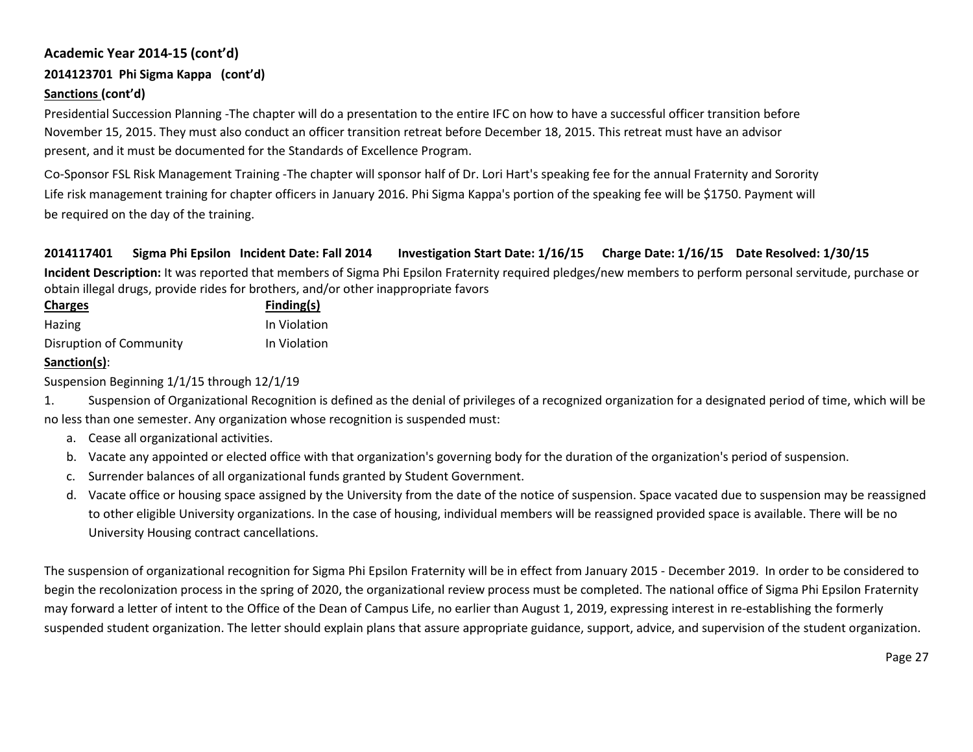# **2014123701 Phi Sigma Kappa (cont'd)**

# **Sanctions (cont'd)**

Presidential Succession Planning -The chapter will do a presentation to the entire IFC on how to have a successful officer transition before November 15, 2015. They must also conduct an officer transition retreat before December 18, 2015. This retreat must have an advisor present, and it must be documented for the Standards of Excellence Program.

Co-Sponsor FSL Risk Management Training -The chapter will sponsor half of Dr. Lori Hart's speaking fee for the annual Fraternity and Sorority Life risk management training for chapter officers in January 2016. Phi Sigma Kappa's portion of the speaking fee will be \$1750. Payment will be required on the day of the training.

# **2014117401 Sigma Phi Epsilon Incident Date: Fall 2014 Investigation Start Date: 1/16/15 Charge Date: 1/16/15 Date Resolved: 1/30/15**

**Incident Description:** It was reported that members of Sigma Phi Epsilon Fraternity required pledges/new members to perform personal servitude, purchase or obtain illegal drugs, provide rides for brothers, and/or other inappropriate favors

| <b>Charges</b>          | Finding(s)   |
|-------------------------|--------------|
| Hazing                  | In Violation |
| Disruption of Community | In Violation |

# **Sanction(s)**:

Suspension Beginning 1/1/15 through 12/1/19

1. Suspension of Organizational Recognition is defined as the denial of privileges of a recognized organization for a designated period of time, which will be no less than one semester. Any organization whose recognition is suspended must:

- a. Cease all organizational activities.
- b. Vacate any appointed or elected office with that organization's governing body for the duration of the organization's period of suspension.
- c. Surrender balances of all organizational funds granted by Student Government.
- d. Vacate office or housing space assigned by the University from the date of the notice of suspension. Space vacated due to suspension may be reassigned to other eligible University organizations. In the case of housing, individual members will be reassigned provided space is available. There will be no University Housing contract cancellations.

The suspension of organizational recognition for Sigma Phi Epsilon Fraternity will be in effect from January 2015 - December 2019. In order to be considered to begin the recolonization process in the spring of 2020, the organizational review process must be completed. The national office of Sigma Phi Epsilon Fraternity may forward a letter of intent to the Office of the Dean of Campus Life, no earlier than August 1, 2019, expressing interest in re-establishing the formerly suspended student organization. The letter should explain plans that assure appropriate guidance, support, advice, and supervision of the student organization.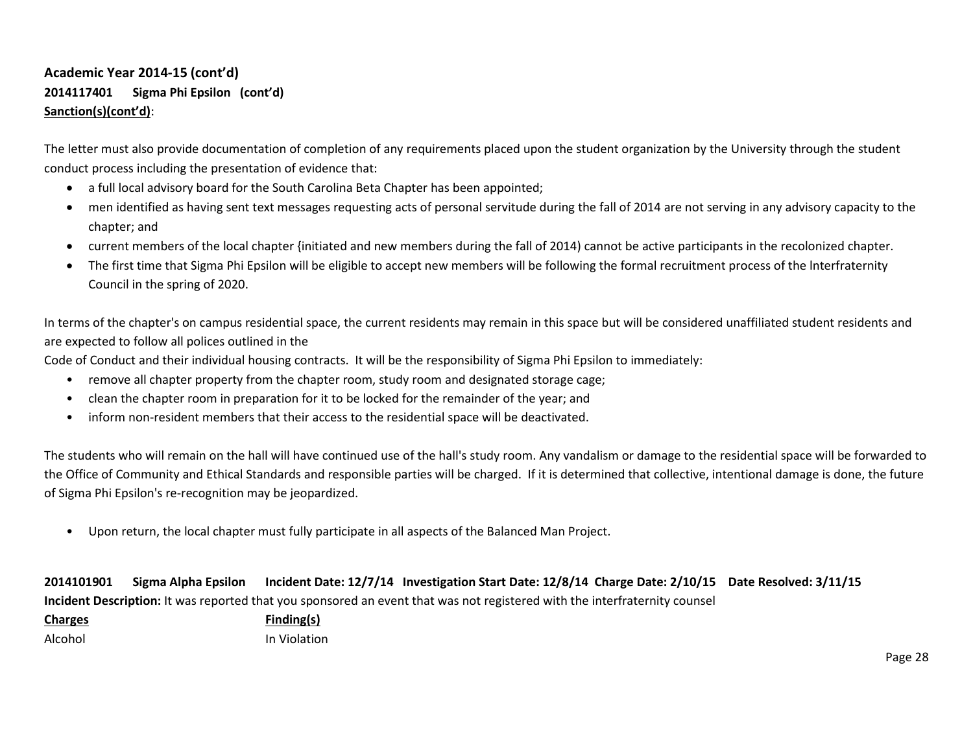# **Academic Year 2014-15 (cont'd) 2014117401 Sigma Phi Epsilon (cont'd) Sanction(s)(cont'd)**:

The letter must also provide documentation of completion of any requirements placed upon the student organization by the University through the student conduct process including the presentation of evidence that:

- a full local advisory board for the South Carolina Beta Chapter has been appointed;
- men identified as having sent text messages requesting acts of personal servitude during the fall of 2014 are not serving in any advisory capacity to the chapter; and
- current members of the local chapter {initiated and new members during the fall of 2014) cannot be active participants in the recolonized chapter.
- The first time that Sigma Phi Epsilon will be eligible to accept new members will be following the formal recruitment process of the lnterfraternity Council in the spring of 2020.

In terms of the chapter's on campus residential space, the current residents may remain in this space but will be considered unaffiliated student residents and are expected to follow all polices outlined in the

Code of Conduct and their individual housing contracts. It will be the responsibility of Sigma Phi Epsilon to immediately:

- remove all chapter property from the chapter room, study room and designated storage cage;
- clean the chapter room in preparation for it to be locked for the remainder of the year; and
- inform non-resident members that their access to the residential space will be deactivated.

The students who will remain on the hall will have continued use of the hall's study room. Any vandalism or damage to the residential space will be forwarded to the Office of Community and Ethical Standards and responsible parties will be charged. If it is determined that collective, intentional damage is done, the future of Sigma Phi Epsilon's re-recognition may be jeopardized.

• Upon return, the local chapter must fully participate in all aspects of the Balanced Man Project.

|  | 2014101901 Sigma Alpha Epsilon Incident Date: 12/7/14 Investigation Start Date: 12/8/14 Charge Date: 2/10/15 Date Resolved: 3/11/15 |  |
|--|-------------------------------------------------------------------------------------------------------------------------------------|--|
|  | Incident Description: It was reported that you sponsored an event that was not registered with the interfraternity counsel          |  |

| <b>Charges</b> | Finding(s)   |
|----------------|--------------|
| Alcohol        | In Violation |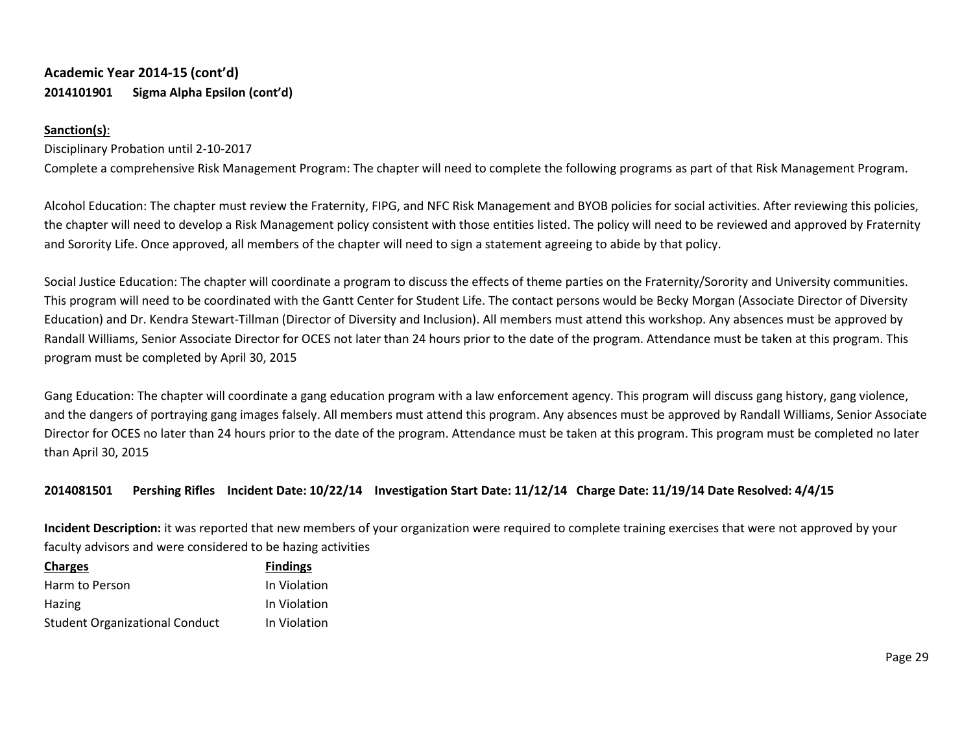# **Academic Year 2014-15 (cont'd) 2014101901 Sigma Alpha Epsilon (cont'd)**

# **Sanction(s)**:

# Disciplinary Probation until 2-10-2017

Complete a comprehensive Risk Management Program: The chapter will need to complete the following programs as part of that Risk Management Program.

Alcohol Education: The chapter must review the Fraternity, FIPG, and NFC Risk Management and BYOB policies for social activities. After reviewing this policies, the chapter will need to develop a Risk Management policy consistent with those entities listed. The policy will need to be reviewed and approved by Fraternity and Sorority Life. Once approved, all members of the chapter will need to sign a statement agreeing to abide by that policy.

Social Justice Education: The chapter will coordinate a program to discuss the effects of theme parties on the Fraternity/Sorority and University communities. This program will need to be coordinated with the Gantt Center for Student Life. The contact persons would be Becky Morgan (Associate Director of Diversity Education) and Dr. Kendra Stewart-Tillman (Director of Diversity and Inclusion). All members must attend this workshop. Any absences must be approved by Randall Williams, Senior Associate Director for OCES not later than 24 hours prior to the date of the program. Attendance must be taken at this program. This program must be completed by April 30, 2015

Gang Education: The chapter will coordinate a gang education program with a law enforcement agency. This program will discuss gang history, gang violence, and the dangers of portraying gang images falsely. All members must attend this program. Any absences must be approved by Randall Williams, Senior Associate Director for OCES no later than 24 hours prior to the date of the program. Attendance must be taken at this program. This program must be completed no later than April 30, 2015

# **2014081501 Pershing Rifles Incident Date: 10/22/14 Investigation Start Date: 11/12/14 Charge Date: 11/19/14 Date Resolved: 4/4/15**

**Incident Description:** it was reported that new members of your organization were required to complete training exercises that were not approved by your faculty advisors and were considered to be hazing activities

| <b>Charges</b>                        | <b>Findings</b> |
|---------------------------------------|-----------------|
| Harm to Person                        | In Violation    |
| Hazing                                | In Violation    |
| <b>Student Organizational Conduct</b> | In Violation    |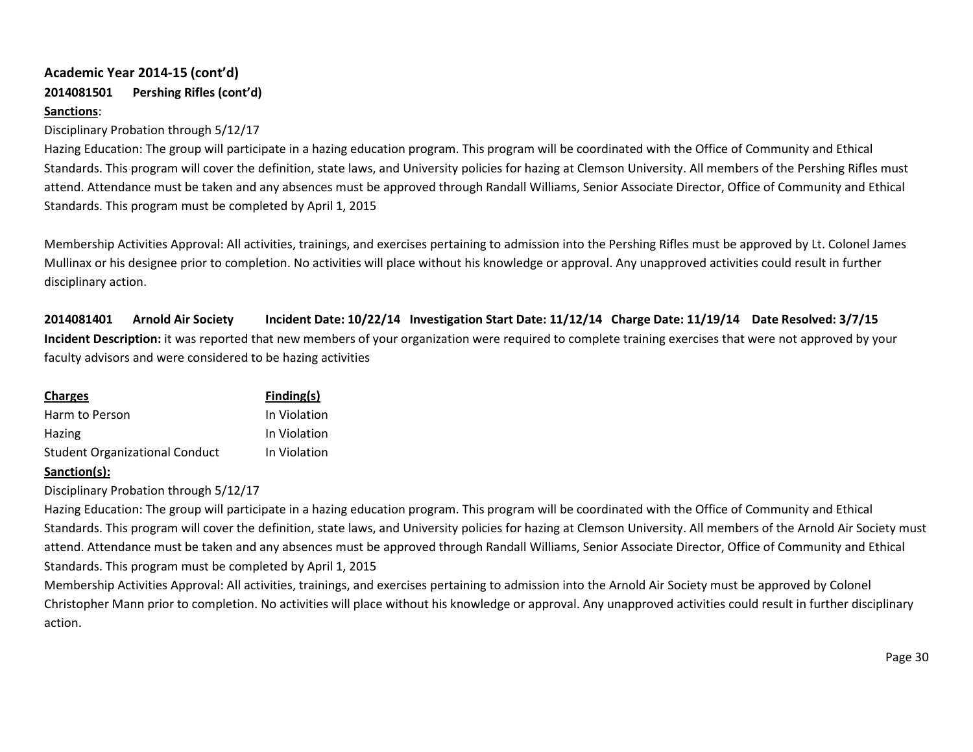# **Academic Year 2014-15 (cont'd) 2014081501 Pershing Rifles (cont'd)**

# **Sanctions**:

#### Disciplinary Probation through 5/12/17

Hazing Education: The group will participate in a hazing education program. This program will be coordinated with the Office of Community and Ethical Standards. This program will cover the definition, state laws, and University policies for hazing at Clemson University. All members of the Pershing Rifles must attend. Attendance must be taken and any absences must be approved through Randall Williams, Senior Associate Director, Office of Community and Ethical Standards. This program must be completed by April 1, 2015

Membership Activities Approval: All activities, trainings, and exercises pertaining to admission into the Pershing Rifles must be approved by Lt. Colonel James Mullinax or his designee prior to completion. No activities will place without his knowledge or approval. Any unapproved activities could result in further disciplinary action.

**2014081401 Arnold Air Society Incident Date: 10/22/14 Investigation Start Date: 11/12/14 Charge Date: 11/19/14 Date Resolved: 3/7/15 Incident Description:** it was reported that new members of your organization were required to complete training exercises that were not approved by your faculty advisors and were considered to be hazing activities

| <b>Charges</b>                        | Finding(s)   |
|---------------------------------------|--------------|
| Harm to Person                        | In Violation |
| <b>Hazing</b>                         | In Violation |
| <b>Student Organizational Conduct</b> | In Violation |

# **Sanction(s):**

Disciplinary Probation through 5/12/17

Hazing Education: The group will participate in a hazing education program. This program will be coordinated with the Office of Community and Ethical Standards. This program will cover the definition, state laws, and University policies for hazing at Clemson University. All members of the Arnold Air Society must attend. Attendance must be taken and any absences must be approved through Randall Williams, Senior Associate Director, Office of Community and Ethical Standards. This program must be completed by April 1, 2015

Membership Activities Approval: All activities, trainings, and exercises pertaining to admission into the Arnold Air Society must be approved by Colonel Christopher Mann prior to completion. No activities will place without his knowledge or approval. Any unapproved activities could result in further disciplinary action.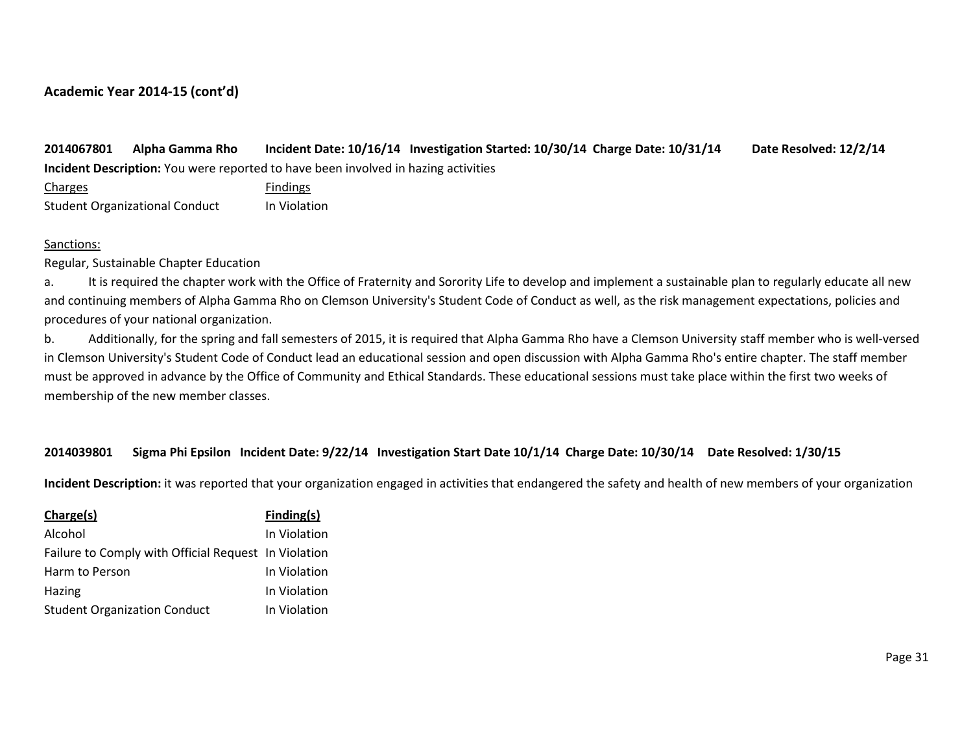**2014067801 Alpha Gamma Rho Incident Date: 10/16/14 Investigation Started: 10/30/14 Charge Date: 10/31/14 Date Resolved: 12/2/14 Incident Description:** You were reported to have been involved in hazing activities

Charges **Findings** Student Organizational Conduct In Violation

#### Sanctions:

Regular, Sustainable Chapter Education

a. It is required the chapter work with the Office of Fraternity and Sorority Life to develop and implement a sustainable plan to regularly educate all new and continuing members of Alpha Gamma Rho on Clemson University's Student Code of Conduct as well, as the risk management expectations, policies and procedures of your national organization.

b. Additionally, for the spring and fall semesters of 2015, it is required that Alpha Gamma Rho have a Clemson University staff member who is well-versed in Clemson University's Student Code of Conduct lead an educational session and open discussion with Alpha Gamma Rho's entire chapter. The staff member must be approved in advance by the Office of Community and Ethical Standards. These educational sessions must take place within the first two weeks of membership of the new member classes.

## **2014039801 Sigma Phi Epsilon Incident Date: 9/22/14 Investigation Start Date 10/1/14 Charge Date: 10/30/14 Date Resolved: 1/30/15**

**Incident Description:** it was reported that your organization engaged in activities that endangered the safety and health of new members of your organization

| Charge(s)                                            | Finding(s)   |
|------------------------------------------------------|--------------|
| Alcohol                                              | In Violation |
| Failure to Comply with Official Request In Violation |              |
| Harm to Person                                       | In Violation |
| Hazing                                               | In Violation |
| <b>Student Organization Conduct</b>                  | In Violation |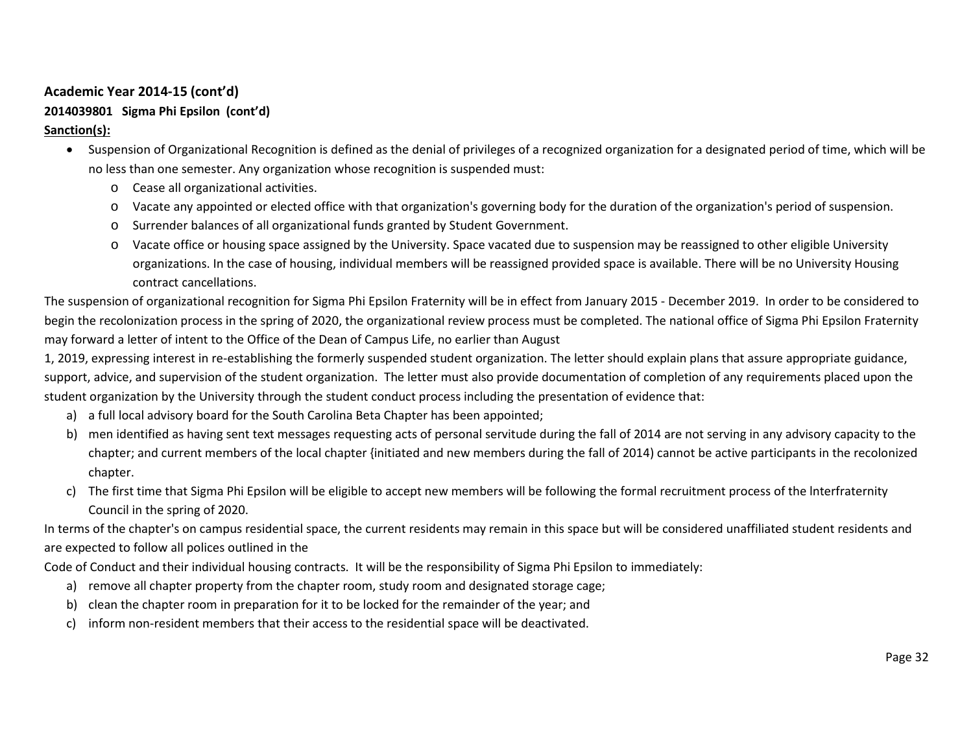# **2014039801 Sigma Phi Epsilon (cont'd)**

# **Sanction(s):**

- Suspension of Organizational Recognition is defined as the denial of privileges of a recognized organization for a designated period of time, which will be no less than one semester. Any organization whose recognition is suspended must:
	- o Cease all organizational activities.
	- o Vacate any appointed or elected office with that organization's governing body for the duration of the organization's period of suspension.
	- o Surrender balances of all organizational funds granted by Student Government.
	- o Vacate office or housing space assigned by the University. Space vacated due to suspension may be reassigned to other eligible University organizations. In the case of housing, individual members will be reassigned provided space is available. There will be no University Housing contract cancellations.

The suspension of organizational recognition for Sigma Phi Epsilon Fraternity will be in effect from January 2015 - December 2019. In order to be considered to begin the recolonization process in the spring of 2020, the organizational review process must be completed. The national office of Sigma Phi Epsilon Fraternity may forward a letter of intent to the Office of the Dean of Campus Life, no earlier than August

1, 2019, expressing interest in re-establishing the formerly suspended student organization. The letter should explain plans that assure appropriate guidance, support, advice, and supervision of the student organization. The letter must also provide documentation of completion of any requirements placed upon the student organization by the University through the student conduct process including the presentation of evidence that:

- a) a full local advisory board for the South Carolina Beta Chapter has been appointed;
- b) men identified as having sent text messages requesting acts of personal servitude during the fall of 2014 are not serving in any advisory capacity to the chapter; and current members of the local chapter {initiated and new members during the fall of 2014) cannot be active participants in the recolonized chapter.
- c) The first time that Sigma Phi Epsilon will be eligible to accept new members will be following the formal recruitment process of the lnterfraternity Council in the spring of 2020.

In terms of the chapter's on campus residential space, the current residents may remain in this space but will be considered unaffiliated student residents and are expected to follow all polices outlined in the

Code of Conduct and their individual housing contracts. It will be the responsibility of Sigma Phi Epsilon to immediately:

- a) remove all chapter property from the chapter room, study room and designated storage cage;
- b) clean the chapter room in preparation for it to be locked for the remainder of the year; and
- c) inform non-resident members that their access to the residential space will be deactivated.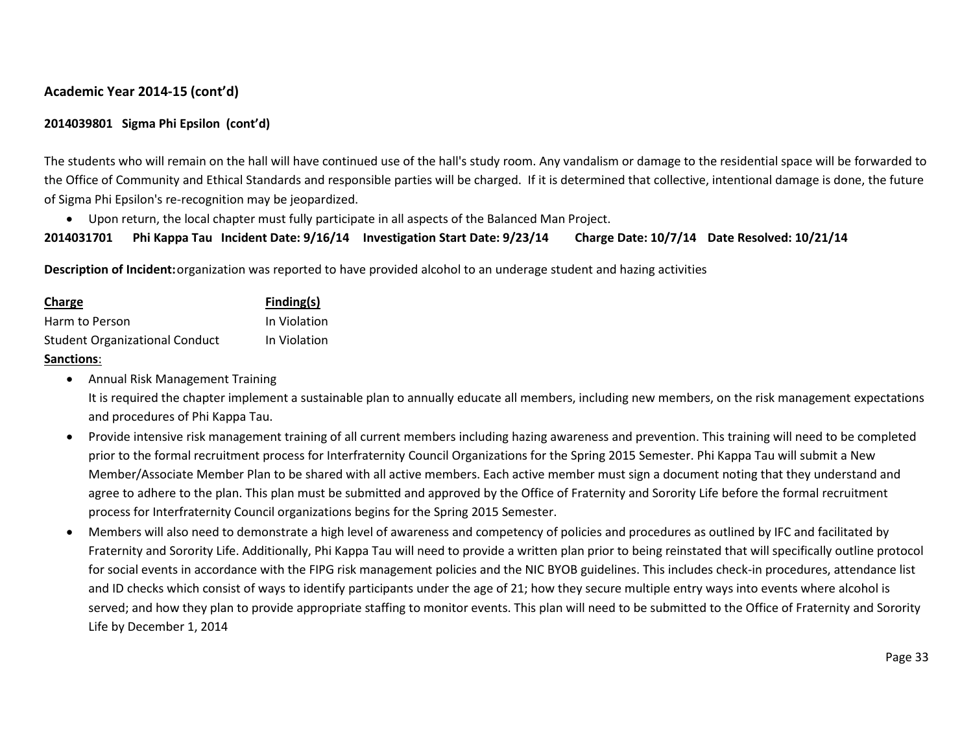# **2014039801 Sigma Phi Epsilon (cont'd)**

The students who will remain on the hall will have continued use of the hall's study room. Any vandalism or damage to the residential space will be forwarded to the Office of Community and Ethical Standards and responsible parties will be charged. If it is determined that collective, intentional damage is done, the future of Sigma Phi Epsilon's re-recognition may be jeopardized.

• Upon return, the local chapter must fully participate in all aspects of the Balanced Man Project.

```
2014031701 Phi Kappa Tau Incident Date: 9/16/14 Investigation Start Date: 9/23/14 Charge Date: 10/7/14 Date Resolved: 10/21/14
```
**Description of Incident:**organization was reported to have provided alcohol to an underage student and hazing activities

| Charge                                | Finding(s)   |
|---------------------------------------|--------------|
| Harm to Person                        | In Violation |
| <b>Student Organizational Conduct</b> | In Violation |

## **Sanctions**:

• Annual Risk Management Training

It is required the chapter implement a sustainable plan to annually educate all members, including new members, on the risk management expectations and procedures of Phi Kappa Tau.

- Provide intensive risk management training of all current members including hazing awareness and prevention. This training will need to be completed prior to the formal recruitment process for Interfraternity Council Organizations for the Spring 2015 Semester. Phi Kappa Tau will submit a New Member/Associate Member Plan to be shared with all active members. Each active member must sign a document noting that they understand and agree to adhere to the plan. This plan must be submitted and approved by the Office of Fraternity and Sorority Life before the formal recruitment process for Interfraternity Council organizations begins for the Spring 2015 Semester.
- Members will also need to demonstrate a high level of awareness and competency of policies and procedures as outlined by IFC and facilitated by Fraternity and Sorority Life. Additionally, Phi Kappa Tau will need to provide a written plan prior to being reinstated that will specifically outline protocol for social events in accordance with the FIPG risk management policies and the NIC BYOB guidelines. This includes check-in procedures, attendance list and ID checks which consist of ways to identify participants under the age of 21; how they secure multiple entry ways into events where alcohol is served; and how they plan to provide appropriate staffing to monitor events. This plan will need to be submitted to the Office of Fraternity and Sorority Life by December 1, 2014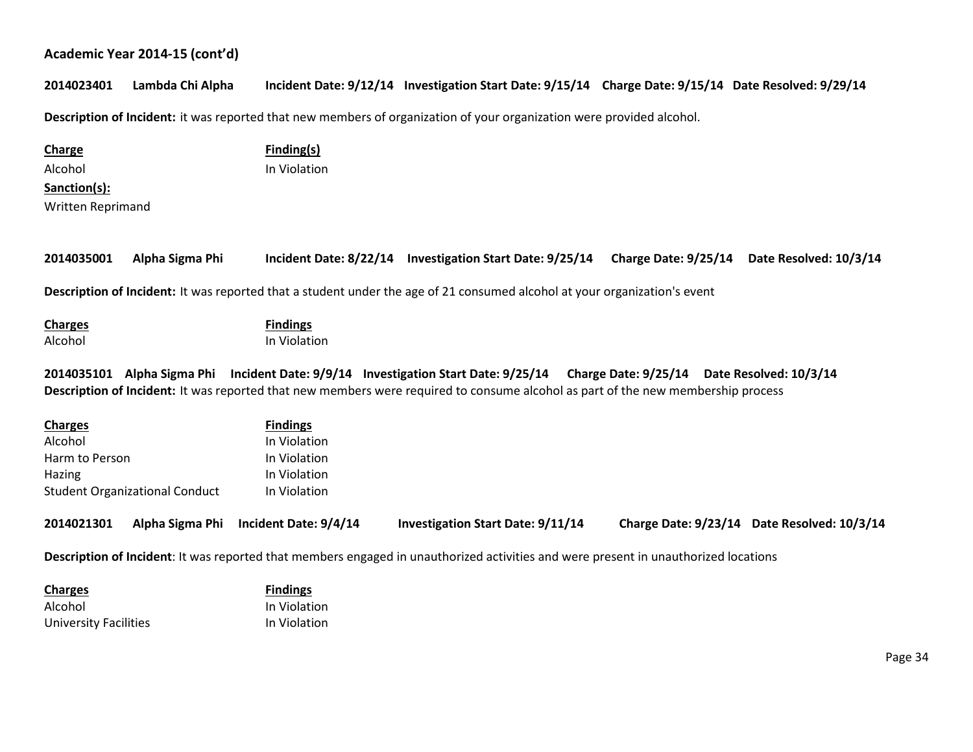# **2014023401 Lambda Chi Alpha Incident Date: 9/12/14 Investigation Start Date: 9/15/14 Charge Date: 9/15/14 Date Resolved: 9/29/14**

**Description of Incident:** it was reported that new members of organization of your organization were provided alcohol.

| <b>Charge</b>     |                                       | <b>Finding(s)</b>                     |                                                                                                                                       |                      |                                             |
|-------------------|---------------------------------------|---------------------------------------|---------------------------------------------------------------------------------------------------------------------------------------|----------------------|---------------------------------------------|
| Alcohol           |                                       | In Violation                          |                                                                                                                                       |                      |                                             |
| Sanction(s):      |                                       |                                       |                                                                                                                                       |                      |                                             |
| Written Reprimand |                                       |                                       |                                                                                                                                       |                      |                                             |
|                   |                                       |                                       |                                                                                                                                       |                      |                                             |
|                   |                                       |                                       |                                                                                                                                       |                      |                                             |
| 2014035001        | Alpha Sigma Phi                       |                                       | Incident Date: 8/22/14 Investigation Start Date: 9/25/14                                                                              | Charge Date: 9/25/14 | Date Resolved: 10/3/14                      |
|                   |                                       |                                       |                                                                                                                                       |                      |                                             |
|                   |                                       |                                       | Description of Incident: It was reported that a student under the age of 21 consumed alcohol at your organization's event             |                      |                                             |
| <b>Charges</b>    |                                       | <b>Findings</b>                       |                                                                                                                                       |                      |                                             |
| Alcohol           |                                       | In Violation                          |                                                                                                                                       |                      |                                             |
|                   |                                       |                                       |                                                                                                                                       |                      |                                             |
|                   |                                       |                                       | 2014035101 Alpha Sigma Phi Incident Date: 9/9/14 Investigation Start Date: 9/25/14 Charge Date: 9/25/14 Date Resolved: 10/3/14        |                      |                                             |
|                   |                                       |                                       | Description of Incident: It was reported that new members were required to consume alcohol as part of the new membership process      |                      |                                             |
|                   |                                       |                                       |                                                                                                                                       |                      |                                             |
| <b>Charges</b>    |                                       | <b>Findings</b>                       |                                                                                                                                       |                      |                                             |
| Alcohol           |                                       | In Violation                          |                                                                                                                                       |                      |                                             |
| Harm to Person    |                                       | In Violation                          |                                                                                                                                       |                      |                                             |
| Hazing            |                                       | In Violation                          |                                                                                                                                       |                      |                                             |
|                   | <b>Student Organizational Conduct</b> | In Violation                          |                                                                                                                                       |                      |                                             |
| 2014021301        |                                       | Alpha Sigma Phi Incident Date: 9/4/14 | <b>Investigation Start Date: 9/11/14</b>                                                                                              |                      | Charge Date: 9/23/14 Date Resolved: 10/3/14 |
|                   |                                       |                                       |                                                                                                                                       |                      |                                             |
|                   |                                       |                                       | ★ contract of the them are concerned them are all concerned to the contract them and the concerned to the contract of the contract of |                      |                                             |

**Description of Incident**: It was reported that members engaged in unauthorized activities and were present in unauthorized locations

| <b>Charges</b>        | <b>Findings</b> |
|-----------------------|-----------------|
| Alcohol               | In Violation    |
| University Facilities | In Violation    |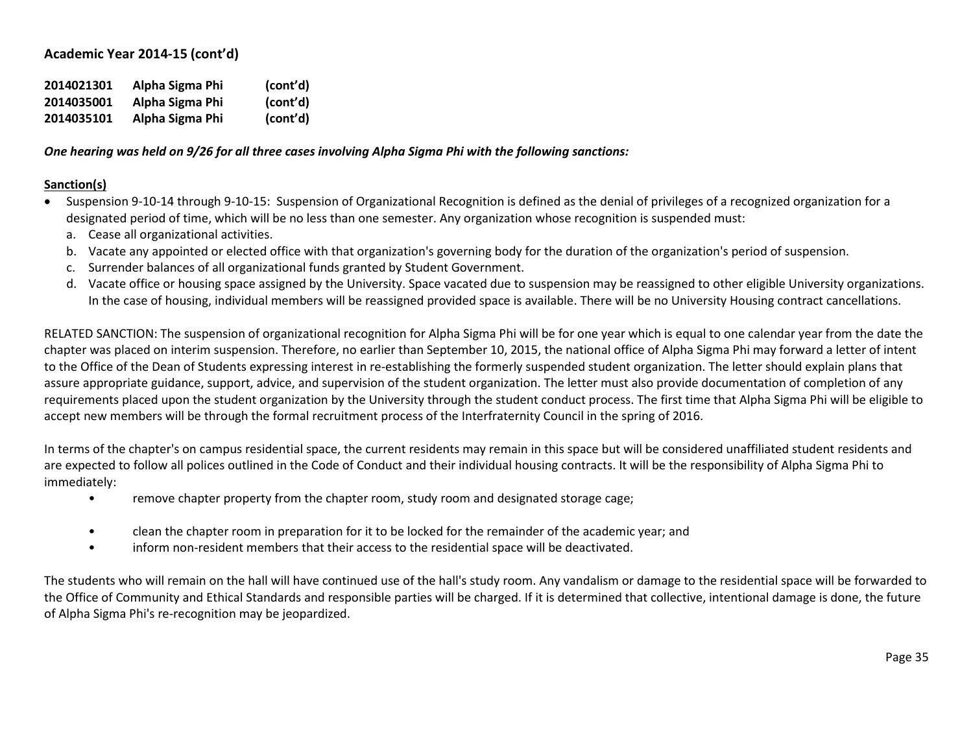| 2014021301 | Alpha Sigma Phi | (cont'd) |
|------------|-----------------|----------|
| 2014035001 | Alpha Sigma Phi | (cont'd) |
| 2014035101 | Alpha Sigma Phi | (cont'd) |

*One hearing was held on 9/26 for all three cases involving Alpha Sigma Phi with the following sanctions:*

## **Sanction(s)**

- Suspension 9-10-14 through 9-10-15: Suspension of Organizational Recognition is defined as the denial of privileges of a recognized organization for a designated period of time, which will be no less than one semester. Any organization whose recognition is suspended must:
	- a. Cease all organizational activities.
	- b. Vacate any appointed or elected office with that organization's governing body for the duration of the organization's period of suspension.
	- c. Surrender balances of all organizational funds granted by Student Government.
	- d. Vacate office or housing space assigned by the University. Space vacated due to suspension may be reassigned to other eligible University organizations. In the case of housing, individual members will be reassigned provided space is available. There will be no University Housing contract cancellations.

RELATED SANCTION: The suspension of organizational recognition for Alpha Sigma Phi will be for one year which is equal to one calendar year from the date the chapter was placed on interim suspension. Therefore, no earlier than September 10, 2015, the national office of Alpha Sigma Phi may forward a letter of intent to the Office of the Dean of Students expressing interest in re-establishing the formerly suspended student organization. The letter should explain plans that assure appropriate guidance, support, advice, and supervision of the student organization. The letter must also provide documentation of completion of any requirements placed upon the student organization by the University through the student conduct process. The first time that Alpha Sigma Phi will be eligible to accept new members will be through the formal recruitment process of the Interfraternity Council in the spring of 2016.

In terms of the chapter's on campus residential space, the current residents may remain in this space but will be considered unaffiliated student residents and are expected to follow all polices outlined in the Code of Conduct and their individual housing contracts. It will be the responsibility of Alpha Sigma Phi to immediately:

- remove chapter property from the chapter room, study room and designated storage cage;
- clean the chapter room in preparation for it to be locked for the remainder of the academic year; and
- inform non-resident members that their access to the residential space will be deactivated.

The students who will remain on the hall will have continued use of the hall's study room. Any vandalism or damage to the residential space will be forwarded to the Office of Community and Ethical Standards and responsible parties will be charged. If it is determined that collective, intentional damage is done, the future of Alpha Sigma Phi's re-recognition may be jeopardized.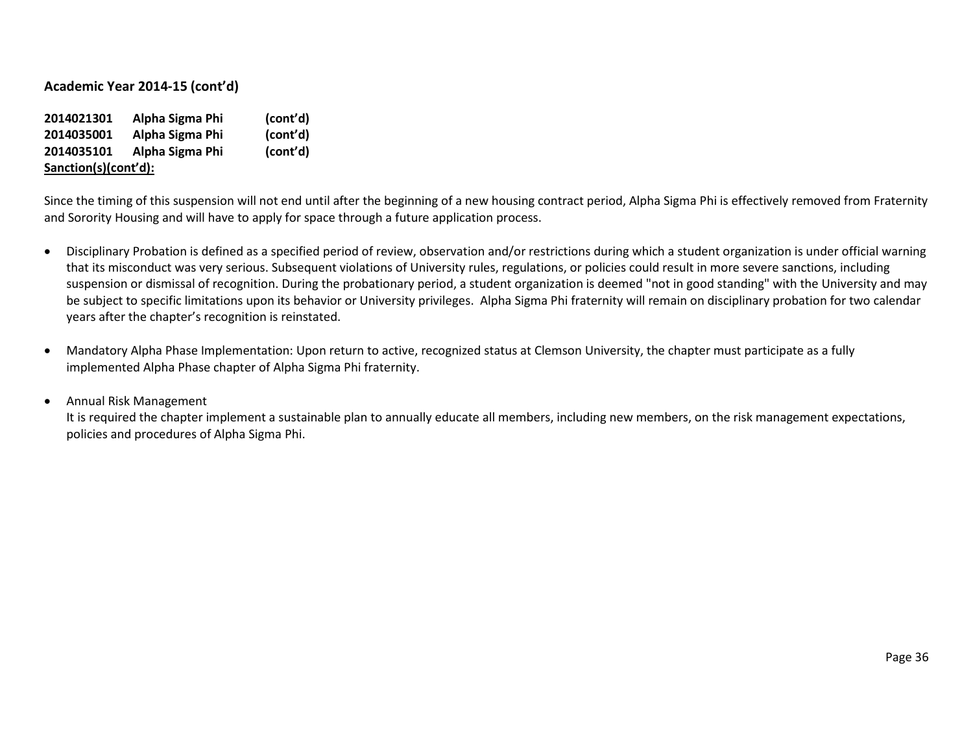| 2014021301           | Alpha Sigma Phi | (cont'd) |
|----------------------|-----------------|----------|
| 2014035001           | Alpha Sigma Phi | (cont'd) |
| 2014035101           | Alpha Sigma Phi | (cont'd) |
| Sanction(s)(cont'd): |                 |          |

Since the timing of this suspension will not end until after the beginning of a new housing contract period, Alpha Sigma Phi is effectively removed from Fraternity and Sorority Housing and will have to apply for space through a future application process.

- Disciplinary Probation is defined as a specified period of review, observation and/or restrictions during which a student organization is under official warning that its misconduct was very serious. Subsequent violations of University rules, regulations, or policies could result in more severe sanctions, including suspension or dismissal of recognition. During the probationary period, a student organization is deemed "not in good standing" with the University and may be subject to specific limitations upon its behavior or University privileges. Alpha Sigma Phi fraternity will remain on disciplinary probation for two calendar years after the chapter's recognition is reinstated.
- Mandatory Alpha Phase Implementation: Upon return to active, recognized status at Clemson University, the chapter must participate as a fully implemented Alpha Phase chapter of Alpha Sigma Phi fraternity.

#### • Annual Risk Management

It is required the chapter implement a sustainable plan to annually educate all members, including new members, on the risk management expectations, policies and procedures of Alpha Sigma Phi.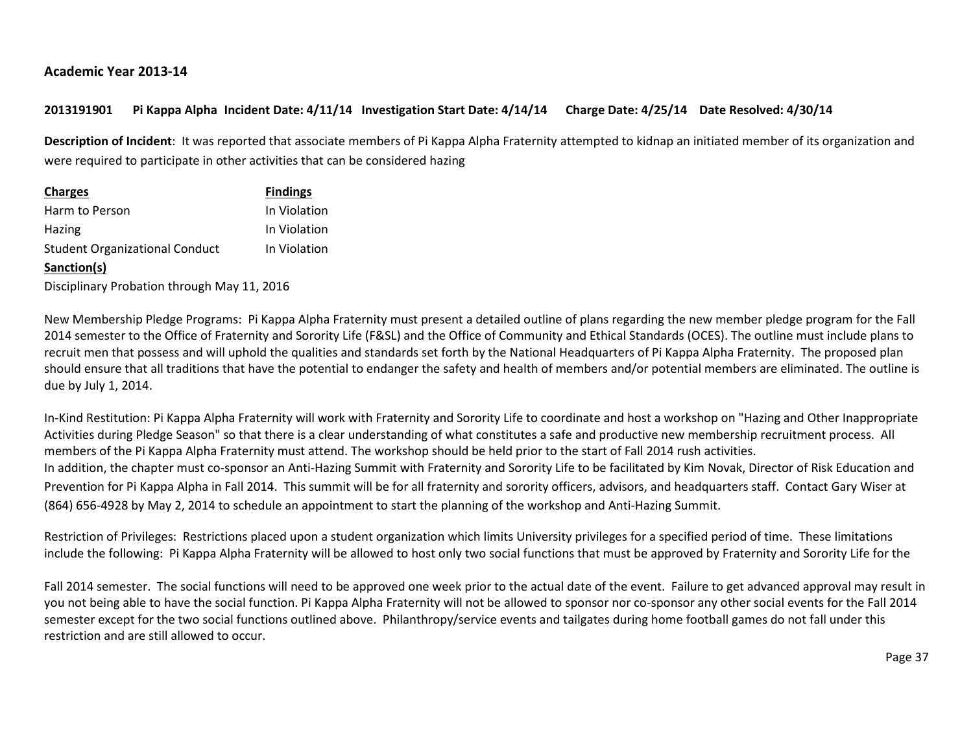## **Academic Year 2013-14**

# **2013191901 Pi Kappa Alpha Incident Date: 4/11/14 Investigation Start Date: 4/14/14 Charge Date: 4/25/14 Date Resolved: 4/30/14**

**Description of Incident**: It was reported that associate members of Pi Kappa Alpha Fraternity attempted to kidnap an initiated member of its organization and were required to participate in other activities that can be considered hazing

| <b>Charges</b>                        | <b>Findings</b> |
|---------------------------------------|-----------------|
| Harm to Person                        | In Violation    |
| <b>Hazing</b>                         | In Violation    |
| <b>Student Organizational Conduct</b> | In Violation    |
| Sanction(s)                           |                 |
|                                       |                 |

Disciplinary Probation through May 11, 2016

New Membership Pledge Programs: Pi Kappa Alpha Fraternity must present a detailed outline of plans regarding the new member pledge program for the Fall 2014 semester to the Office of Fraternity and Sorority Life (F&SL) and the Office of Community and Ethical Standards (OCES). The outline must include plans to recruit men that possess and will uphold the qualities and standards set forth by the National Headquarters of Pi Kappa Alpha Fraternity. The proposed plan should ensure that all traditions that have the potential to endanger the safety and health of members and/or potential members are eliminated. The outline is due by July 1, 2014.

In-Kind Restitution: Pi Kappa Alpha Fraternity will work with Fraternity and Sorority Life to coordinate and host a workshop on "Hazing and Other Inappropriate Activities during Pledge Season" so that there is a clear understanding of what constitutes a safe and productive new membership recruitment process. All members of the Pi Kappa Alpha Fraternity must attend. The workshop should be held prior to the start of Fall 2014 rush activities. In addition, the chapter must co-sponsor an Anti-Hazing Summit with Fraternity and Sorority Life to be facilitated by Kim Novak, Director of Risk Education and Prevention for Pi Kappa Alpha in Fall 2014. This summit will be for all fraternity and sorority officers, advisors, and headquarters staff. Contact Gary Wiser at (864) 656-4928 by May 2, 2014 to schedule an appointment to start the planning of the workshop and Anti-Hazing Summit.

Restriction of Privileges: Restrictions placed upon a student organization which limits University privileges for a specified period of time. These limitations include the following: Pi Kappa Alpha Fraternity will be allowed to host only two social functions that must be approved by Fraternity and Sorority Life for the

Fall 2014 semester. The social functions will need to be approved one week prior to the actual date of the event. Failure to get advanced approval may result in you not being able to have the social function. Pi Kappa Alpha Fraternity will not be allowed to sponsor nor co-sponsor any other social events for the Fall 2014 semester except for the two social functions outlined above. Philanthropy/service events and tailgates during home football games do not fall under this restriction and are still allowed to occur.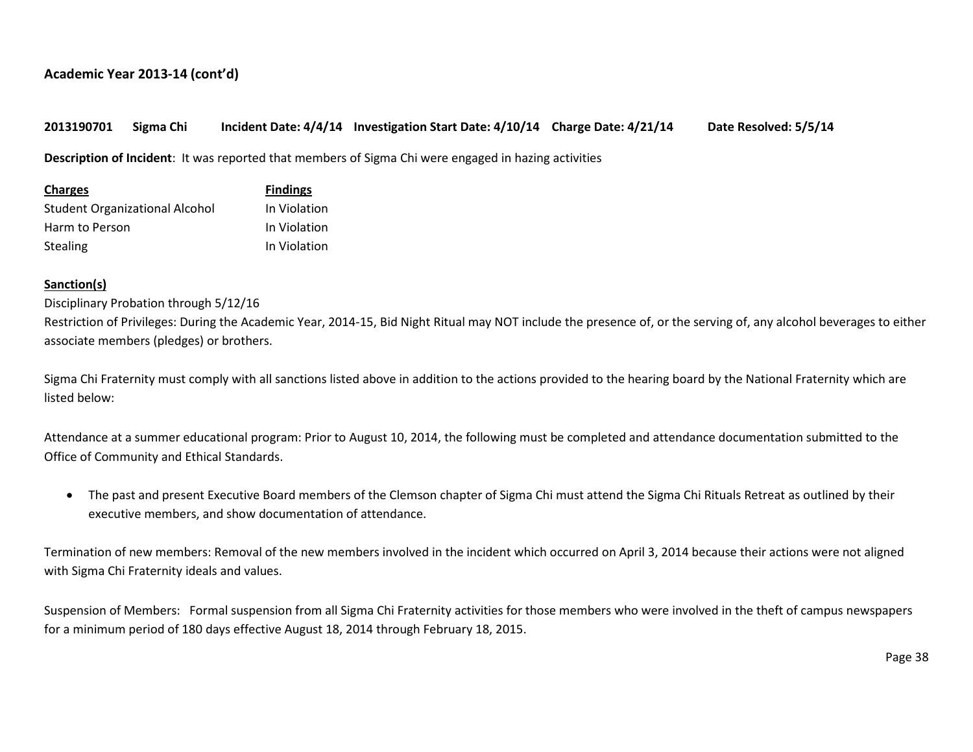## **2013190701 Sigma Chi Incident Date: 4/4/14 Investigation Start Date: 4/10/14 Charge Date: 4/21/14 Date Resolved: 5/5/14**

**Description of Incident**: It was reported that members of Sigma Chi were engaged in hazing activities

| <b>Charges</b>                 | <b>Findings</b> |
|--------------------------------|-----------------|
| Student Organizational Alcohol | In Violation    |
| Harm to Person                 | In Violation    |
| <b>Stealing</b>                | In Violation    |

## **Sanction(s)**

#### Disciplinary Probation through 5/12/16

Restriction of Privileges: During the Academic Year, 2014-15, Bid Night Ritual may NOT include the presence of, or the serving of, any alcohol beverages to either associate members (pledges) or brothers.

Sigma Chi Fraternity must comply with all sanctions listed above in addition to the actions provided to the hearing board by the National Fraternity which are listed below:

Attendance at a summer educational program: Prior to August 10, 2014, the following must be completed and attendance documentation submitted to the Office of Community and Ethical Standards.

• The past and present Executive Board members of the Clemson chapter of Sigma Chi must attend the Sigma Chi Rituals Retreat as outlined by their executive members, and show documentation of attendance.

Termination of new members: Removal of the new members involved in the incident which occurred on April 3, 2014 because their actions were not aligned with Sigma Chi Fraternity ideals and values.

Suspension of Members: Formal suspension from all Sigma Chi Fraternity activities for those members who were involved in the theft of campus newspapers for a minimum period of 180 days effective August 18, 2014 through February 18, 2015.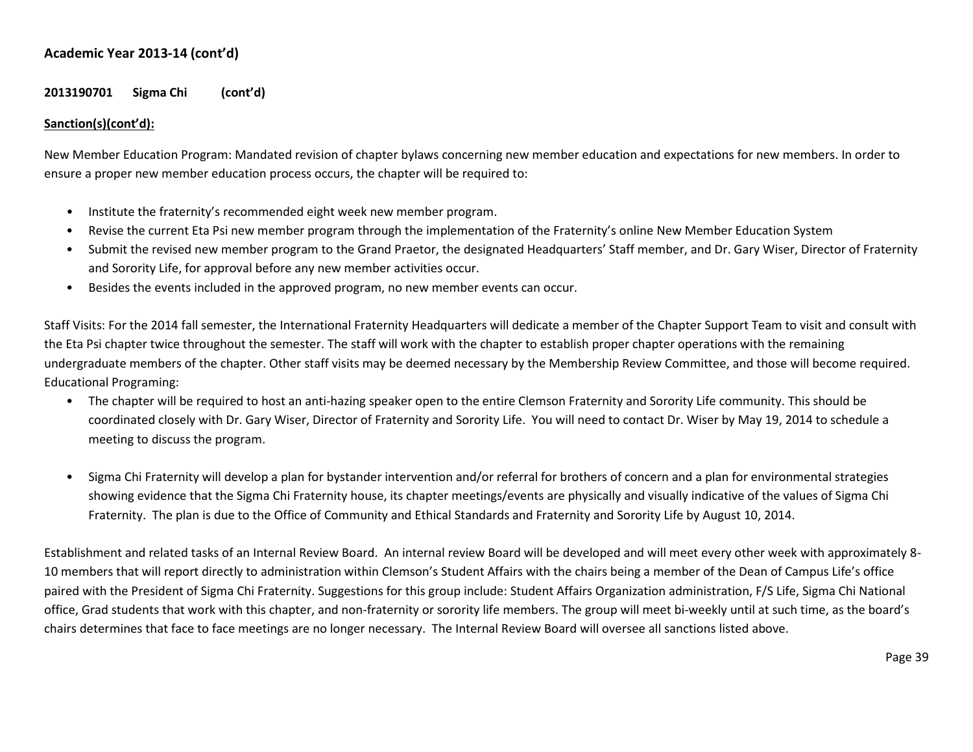## **2013190701 Sigma Chi (cont'd)**

## **Sanction(s)(cont'd):**

New Member Education Program: Mandated revision of chapter bylaws concerning new member education and expectations for new members. In order to ensure a proper new member education process occurs, the chapter will be required to:

- Institute the fraternity's recommended eight week new member program.
- Revise the current Eta Psi new member program through the implementation of the Fraternity's online New Member Education System
- Submit the revised new member program to the Grand Praetor, the designated Headquarters' Staff member, and Dr. Gary Wiser, Director of Fraternity and Sorority Life, for approval before any new member activities occur.
- Besides the events included in the approved program, no new member events can occur.

Staff Visits: For the 2014 fall semester, the International Fraternity Headquarters will dedicate a member of the Chapter Support Team to visit and consult with the Eta Psi chapter twice throughout the semester. The staff will work with the chapter to establish proper chapter operations with the remaining undergraduate members of the chapter. Other staff visits may be deemed necessary by the Membership Review Committee, and those will become required. Educational Programing:

- The chapter will be required to host an anti-hazing speaker open to the entire Clemson Fraternity and Sorority Life community. This should be coordinated closely with Dr. Gary Wiser, Director of Fraternity and Sorority Life. You will need to contact Dr. Wiser by May 19, 2014 to schedule a meeting to discuss the program.
- Sigma Chi Fraternity will develop a plan for bystander intervention and/or referral for brothers of concern and a plan for environmental strategies showing evidence that the Sigma Chi Fraternity house, its chapter meetings/events are physically and visually indicative of the values of Sigma Chi Fraternity. The plan is due to the Office of Community and Ethical Standards and Fraternity and Sorority Life by August 10, 2014.

Establishment and related tasks of an Internal Review Board. An internal review Board will be developed and will meet every other week with approximately 8- 10 members that will report directly to administration within Clemson's Student Affairs with the chairs being a member of the Dean of Campus Life's office paired with the President of Sigma Chi Fraternity. Suggestions for this group include: Student Affairs Organization administration, F/S Life, Sigma Chi National office, Grad students that work with this chapter, and non-fraternity or sorority life members. The group will meet bi-weekly until at such time, as the board's chairs determines that face to face meetings are no longer necessary. The Internal Review Board will oversee all sanctions listed above.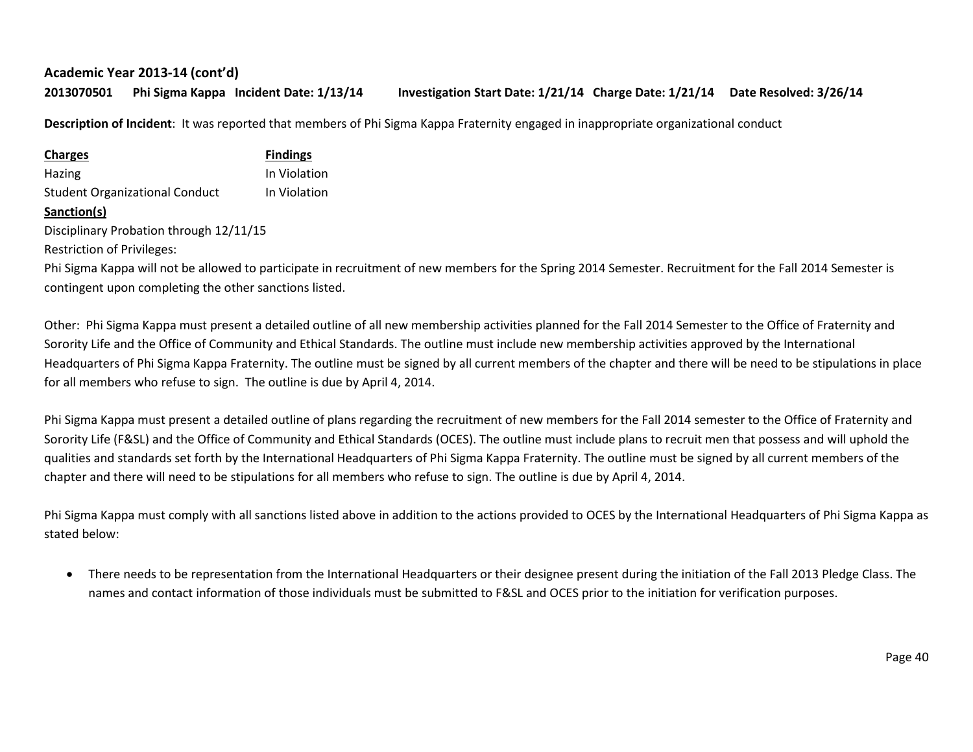**2013070501 Phi Sigma Kappa Incident Date: 1/13/14 Investigation Start Date: 1/21/14 Charge Date: 1/21/14 Date Resolved: 3/26/14**

**Description of Incident**: It was reported that members of Phi Sigma Kappa Fraternity engaged in inappropriate organizational conduct

| <b>Charges</b>                        | <b>Findings</b> |
|---------------------------------------|-----------------|
| Hazing                                | In Violation    |
| <b>Student Organizational Conduct</b> | In Violation    |
| .                                     |                 |

**Sanction(s)**

Disciplinary Probation through 12/11/15

Restriction of Privileges:

Phi Sigma Kappa will not be allowed to participate in recruitment of new members for the Spring 2014 Semester. Recruitment for the Fall 2014 Semester is contingent upon completing the other sanctions listed.

Other: Phi Sigma Kappa must present a detailed outline of all new membership activities planned for the Fall 2014 Semester to the Office of Fraternity and Sorority Life and the Office of Community and Ethical Standards. The outline must include new membership activities approved by the International Headquarters of Phi Sigma Kappa Fraternity. The outline must be signed by all current members of the chapter and there will be need to be stipulations in place for all members who refuse to sign. The outline is due by April 4, 2014.

Phi Sigma Kappa must present a detailed outline of plans regarding the recruitment of new members for the Fall 2014 semester to the Office of Fraternity and Sorority Life (F&SL) and the Office of Community and Ethical Standards (OCES). The outline must include plans to recruit men that possess and will uphold the qualities and standards set forth by the International Headquarters of Phi Sigma Kappa Fraternity. The outline must be signed by all current members of the chapter and there will need to be stipulations for all members who refuse to sign. The outline is due by April 4, 2014.

Phi Sigma Kappa must comply with all sanctions listed above in addition to the actions provided to OCES by the International Headquarters of Phi Sigma Kappa as stated below:

• There needs to be representation from the International Headquarters or their designee present during the initiation of the Fall 2013 Pledge Class. The names and contact information of those individuals must be submitted to F&SL and OCES prior to the initiation for verification purposes.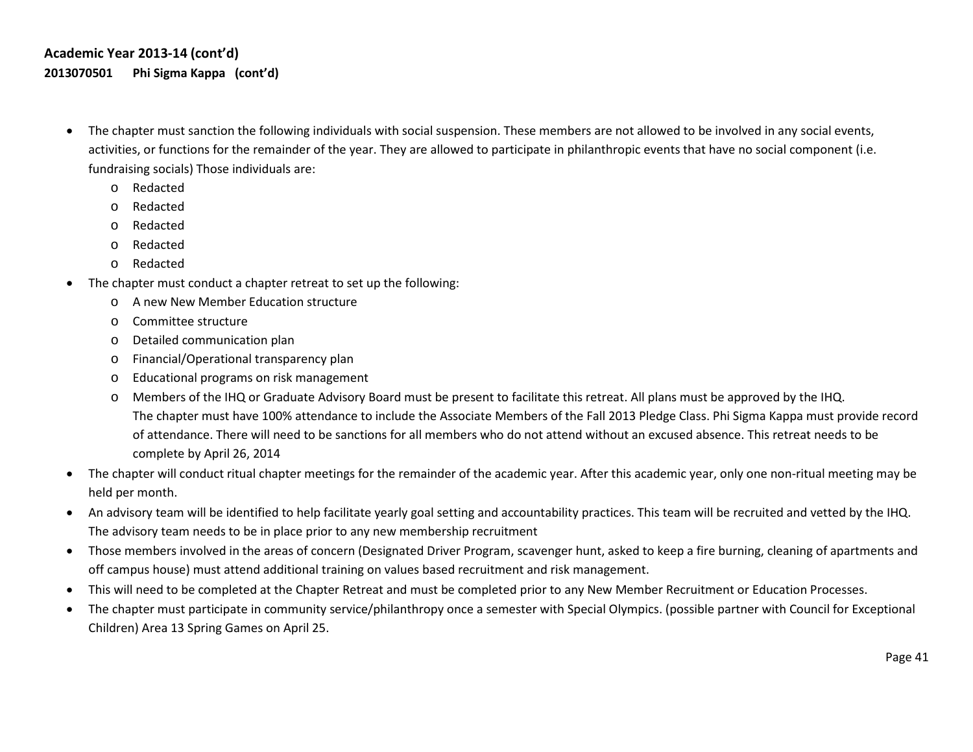# **Academic Year 2013-14 (cont'd) 2013070501 Phi Sigma Kappa (cont'd)**

- The chapter must sanction the following individuals with social suspension. These members are not allowed to be involved in any social events, activities, or functions for the remainder of the year. They are allowed to participate in philanthropic events that have no social component (i.e. fundraising socials) Those individuals are:
	- o Redacted
	- o Redacted
	- o Redacted
	- o Redacted
	- o Redacted
- The chapter must conduct a chapter retreat to set up the following:
	- o A new New Member Education structure
	- o Committee structure
	- o Detailed communication plan
	- o Financial/Operational transparency plan
	- o Educational programs on risk management
	- Members of the IHQ or Graduate Advisory Board must be present to facilitate this retreat. All plans must be approved by the IHQ. The chapter must have 100% attendance to include the Associate Members of the Fall 2013 Pledge Class. Phi Sigma Kappa must provide record of attendance. There will need to be sanctions for all members who do not attend without an excused absence. This retreat needs to be complete by April 26, 2014
- The chapter will conduct ritual chapter meetings for the remainder of the academic year. After this academic year, only one non-ritual meeting may be held per month.
- An advisory team will be identified to help facilitate yearly goal setting and accountability practices. This team will be recruited and vetted by the IHQ. The advisory team needs to be in place prior to any new membership recruitment
- Those members involved in the areas of concern (Designated Driver Program, scavenger hunt, asked to keep a fire burning, cleaning of apartments and off campus house) must attend additional training on values based recruitment and risk management.
- This will need to be completed at the Chapter Retreat and must be completed prior to any New Member Recruitment or Education Processes.
- The chapter must participate in community service/philanthropy once a semester with Special Olympics. (possible partner with Council for Exceptional Children) Area 13 Spring Games on April 25.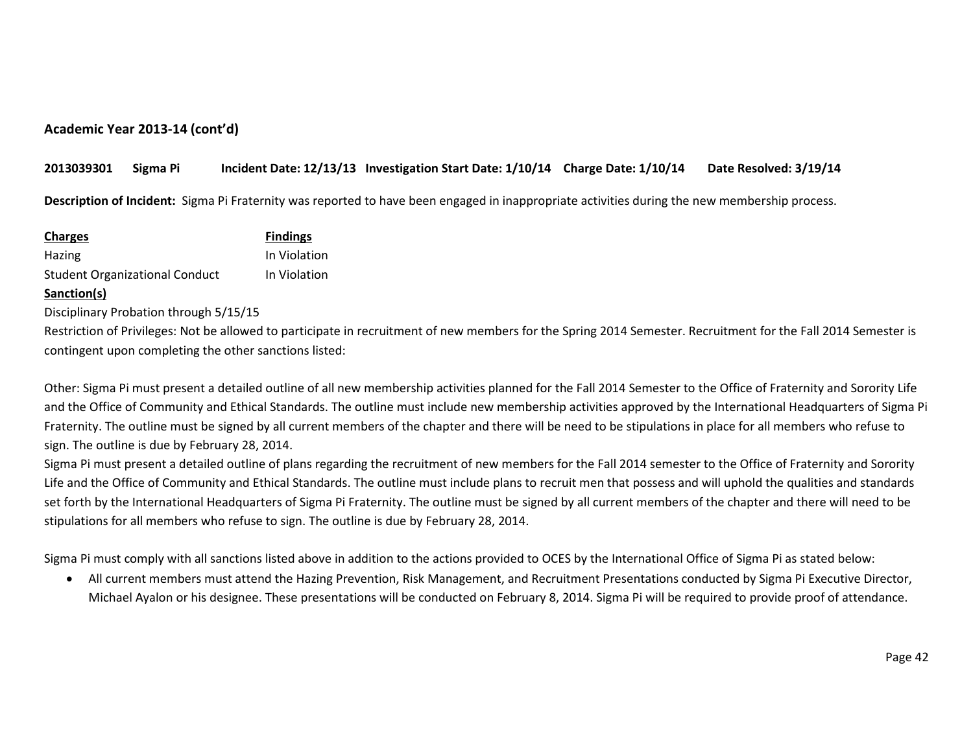## **2013039301 Sigma Pi Incident Date: 12/13/13 Investigation Start Date: 1/10/14 Charge Date: 1/10/14 Date Resolved: 3/19/14**

**Description of Incident:** Sigma Pi Fraternity was reported to have been engaged in inappropriate activities during the new membership process.

| <b>Charges</b>                        | <b>Findings</b> |
|---------------------------------------|-----------------|
| Hazing                                | In Violation    |
| <b>Student Organizational Conduct</b> | In Violation    |
| Sanction(s)                           |                 |
|                                       |                 |

Disciplinary Probation through 5/15/15

Restriction of Privileges: Not be allowed to participate in recruitment of new members for the Spring 2014 Semester. Recruitment for the Fall 2014 Semester is contingent upon completing the other sanctions listed:

Other: Sigma Pi must present a detailed outline of all new membership activities planned for the Fall 2014 Semester to the Office of Fraternity and Sorority Life and the Office of Community and Ethical Standards. The outline must include new membership activities approved by the International Headquarters of Sigma Pi Fraternity. The outline must be signed by all current members of the chapter and there will be need to be stipulations in place for all members who refuse to sign. The outline is due by February 28, 2014.

Sigma Pi must present a detailed outline of plans regarding the recruitment of new members for the Fall 2014 semester to the Office of Fraternity and Sorority Life and the Office of Community and Ethical Standards. The outline must include plans to recruit men that possess and will uphold the qualities and standards set forth by the International Headquarters of Sigma Pi Fraternity. The outline must be signed by all current members of the chapter and there will need to be stipulations for all members who refuse to sign. The outline is due by February 28, 2014.

Sigma Pi must comply with all sanctions listed above in addition to the actions provided to OCES by the International Office of Sigma Pi as stated below:

• All current members must attend the Hazing Prevention, Risk Management, and Recruitment Presentations conducted by Sigma Pi Executive Director, Michael Ayalon or his designee. These presentations will be conducted on February 8, 2014. Sigma Pi will be required to provide proof of attendance.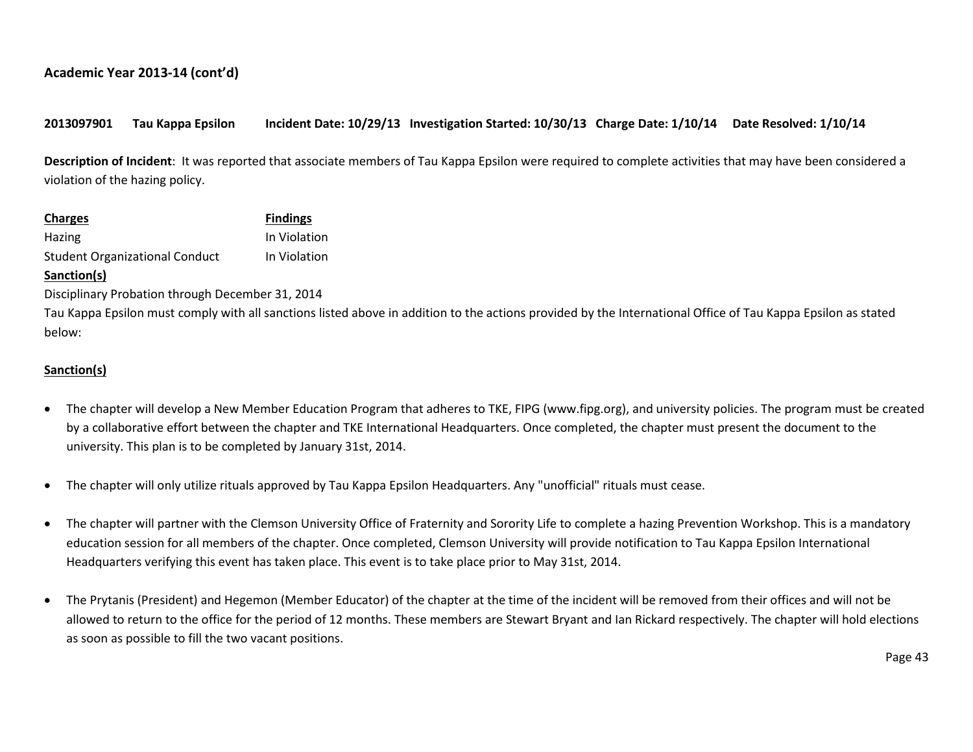## **2013097901 Tau Kappa Epsilon Incident Date: 10/29/13 Investigation Started: 10/30/13 Charge Date: 1/10/14 Date Resolved: 1/10/14**

**Description of Incident**: It was reported that associate members of Tau Kappa Epsilon were required to complete activities that may have been considered a violation of the hazing policy.

| <b>Charges</b>                        | <b>Findings</b> |
|---------------------------------------|-----------------|
| Hazing                                | In Violation    |
| <b>Student Organizational Conduct</b> | In Violation    |

#### **Sanction(s)**

Disciplinary Probation through December 31, 2014

Tau Kappa Epsilon must comply with all sanctions listed above in addition to the actions provided by the International Office of Tau Kappa Epsilon as stated below:

#### **Sanction(s)**

- The chapter will develop a New Member Education Program that adheres to TKE, FIPG (www.fipg.org), and university policies. The program must be created by a collaborative effort between the chapter and TKE International Headquarters. Once completed, the chapter must present the document to the university. This plan is to be completed by January 31st, 2014.
- The chapter will only utilize rituals approved by Tau Kappa Epsilon Headquarters. Any "unofficial" rituals must cease.
- The chapter will partner with the Clemson University Office of Fraternity and Sorority Life to complete a hazing Prevention Workshop. This is a mandatory education session for all members of the chapter. Once completed, Clemson University will provide notification to Tau Kappa Epsilon International Headquarters verifying this event has taken place. This event is to take place prior to May 31st, 2014.
- The Prytanis (President) and Hegemon (Member Educator) of the chapter at the time of the incident will be removed from their offices and will not be allowed to return to the office for the period of 12 months. These members are Stewart Bryant and Ian Rickard respectively. The chapter will hold elections as soon as possible to fill the two vacant positions.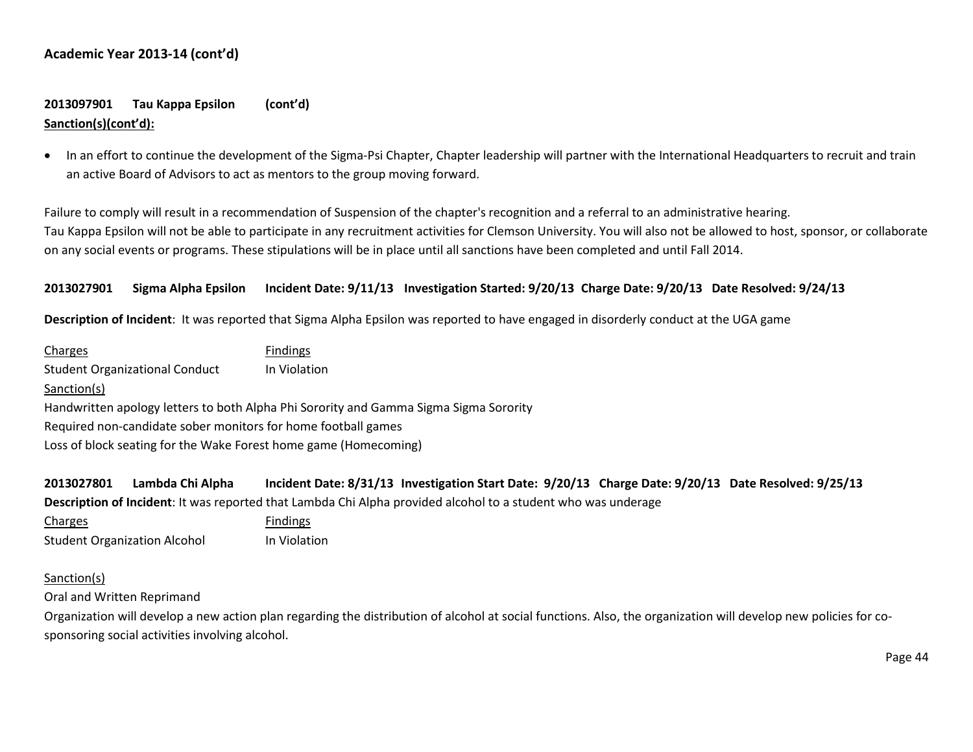# **2013097901 Tau Kappa Epsilon (cont'd) Sanction(s)(cont'd):**

• In an effort to continue the development of the Sigma-Psi Chapter, Chapter leadership will partner with the International Headquarters to recruit and train an active Board of Advisors to act as mentors to the group moving forward.

Failure to comply will result in a recommendation of Suspension of the chapter's recognition and a referral to an administrative hearing. Tau Kappa Epsilon will not be able to participate in any recruitment activities for Clemson University. You will also not be allowed to host, sponsor, or collaborate on any social events or programs. These stipulations will be in place until all sanctions have been completed and until Fall 2014.

#### **2013027901 Sigma Alpha Epsilon Incident Date: 9/11/13 Investigation Started: 9/20/13 Charge Date: 9/20/13 Date Resolved: 9/24/13**

**Description of Incident**: It was reported that Sigma Alpha Epsilon was reported to have engaged in disorderly conduct at the UGA game

| <b>Findings</b>                                                                       |  |  |
|---------------------------------------------------------------------------------------|--|--|
| In Violation                                                                          |  |  |
|                                                                                       |  |  |
| Handwritten apology letters to both Alpha Phi Sorority and Gamma Sigma Sigma Sorority |  |  |
| Required non-candidate sober monitors for home football games                         |  |  |
| Loss of block seating for the Wake Forest home game (Homecoming)                      |  |  |
|                                                                                       |  |  |

**2013027801 Lambda Chi Alpha Incident Date: 8/31/13 Investigation Start Date: 9/20/13 Charge Date: 9/20/13 Date Resolved: 9/25/13 Description of Incident**: It was reported that Lambda Chi Alpha provided alcohol to a student who was underage

Charges **Findings** Student Organization Alcohol In Violation

#### Sanction(s)

Oral and Written Reprimand

Organization will develop a new action plan regarding the distribution of alcohol at social functions. Also, the organization will develop new policies for cosponsoring social activities involving alcohol.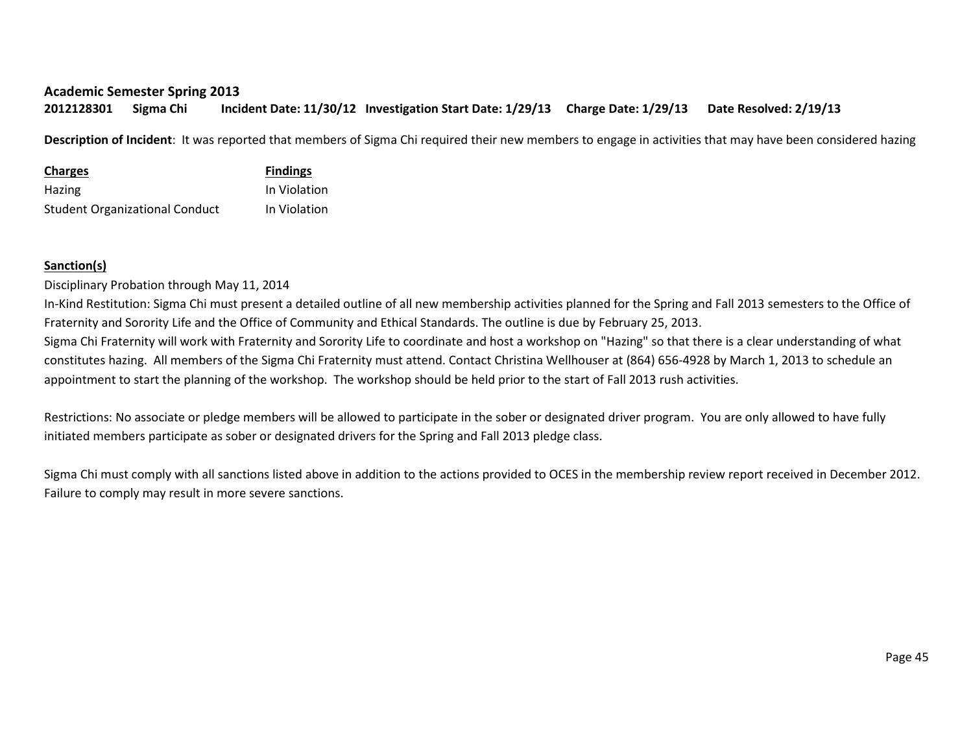#### **Academic Semester Spring 2013**

**2012128301 Sigma Chi Incident Date: 11/30/12 Investigation Start Date: 1/29/13 Charge Date: 1/29/13 Date Resolved: 2/19/13**

**Description of Incident**: It was reported that members of Sigma Chi required their new members to engage in activities that may have been considered hazing

| <b>Charges</b>                        | <b>Findings</b> |
|---------------------------------------|-----------------|
| <b>Hazing</b>                         | In Violation    |
| <b>Student Organizational Conduct</b> | In Violation    |

# **Sanction(s)**

Disciplinary Probation through May 11, 2014

In-Kind Restitution: Sigma Chi must present a detailed outline of all new membership activities planned for the Spring and Fall 2013 semesters to the Office of Fraternity and Sorority Life and the Office of Community and Ethical Standards. The outline is due by February 25, 2013.

Sigma Chi Fraternity will work with Fraternity and Sorority Life to coordinate and host a workshop on "Hazing" so that there is a clear understanding of what constitutes hazing. All members of the Sigma Chi Fraternity must attend. Contact Christina Wellhouser at (864) 656-4928 by March 1, 2013 to schedule an appointment to start the planning of the workshop. The workshop should be held prior to the start of Fall 2013 rush activities.

Restrictions: No associate or pledge members will be allowed to participate in the sober or designated driver program. You are only allowed to have fully initiated members participate as sober or designated drivers for the Spring and Fall 2013 pledge class.

Sigma Chi must comply with all sanctions listed above in addition to the actions provided to OCES in the membership review report received in December 2012. Failure to comply may result in more severe sanctions.